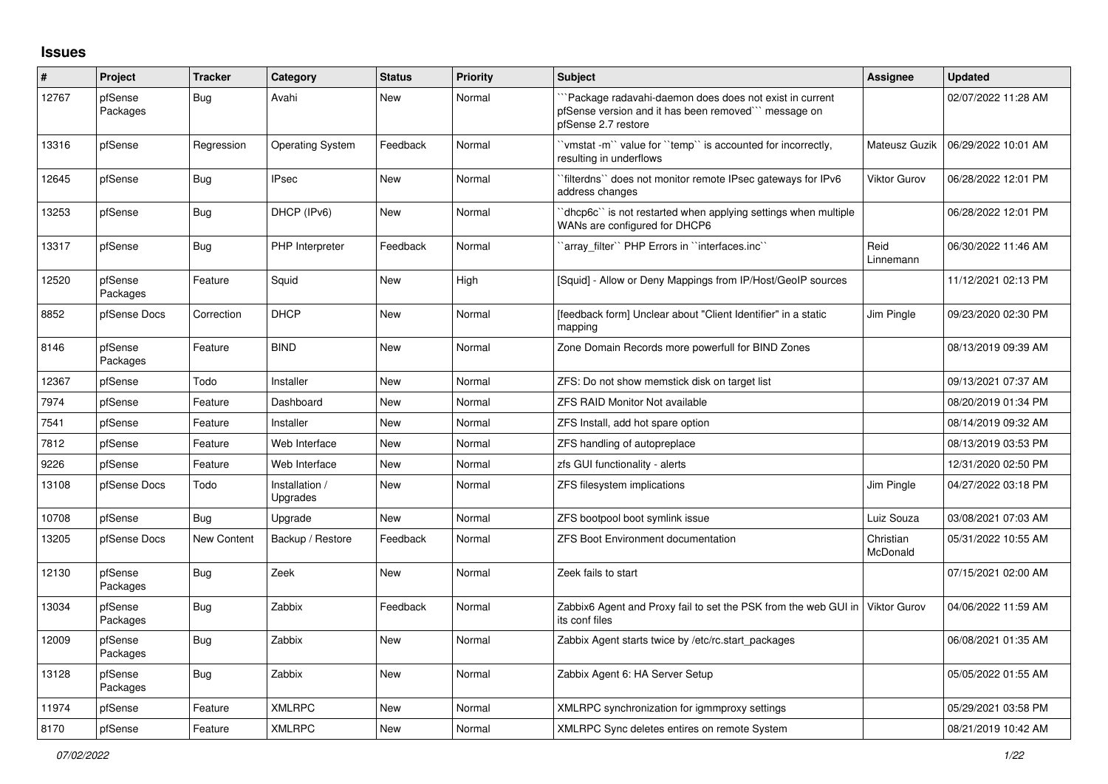## **Issues**

| #     | Project             | <b>Tracker</b>     | Category                   | <b>Status</b> | Priority | <b>Subject</b>                                                                                                                       | <b>Assignee</b>       | <b>Updated</b>      |
|-------|---------------------|--------------------|----------------------------|---------------|----------|--------------------------------------------------------------------------------------------------------------------------------------|-----------------------|---------------------|
| 12767 | pfSense<br>Packages | <b>Bug</b>         | Avahi                      | New           | Normal   | Package radavahi-daemon does does not exist in current<br>pfSense version and it has been removed" message on<br>pfSense 2.7 restore |                       | 02/07/2022 11:28 AM |
| 13316 | pfSense             | Regression         | <b>Operating System</b>    | Feedback      | Normal   | 'vmstat -m'' value for ''temp'' is accounted for incorrectly,<br>resulting in underflows                                             | Mateusz Guzik         | 06/29/2022 10:01 AM |
| 12645 | pfSense             | <b>Bug</b>         | <b>IPsec</b>               | <b>New</b>    | Normal   | `filterdns`` does not monitor remote IPsec gateways for IPv6<br>address changes                                                      | Viktor Gurov          | 06/28/2022 12:01 PM |
| 13253 | pfSense             | <b>Bug</b>         | DHCP (IPv6)                | New           | Normal   | dhcp6c" is not restarted when applying settings when multiple<br>WANs are configured for DHCP6                                       |                       | 06/28/2022 12:01 PM |
| 13317 | pfSense             | Bug                | PHP Interpreter            | Feedback      | Normal   | 'array filter'' PHP Errors in "interfaces.inc"                                                                                       | Reid<br>Linnemann     | 06/30/2022 11:46 AM |
| 12520 | pfSense<br>Packages | Feature            | Squid                      | <b>New</b>    | High     | [Squid] - Allow or Deny Mappings from IP/Host/GeoIP sources                                                                          |                       | 11/12/2021 02:13 PM |
| 8852  | pfSense Docs        | Correction         | <b>DHCP</b>                | <b>New</b>    | Normal   | [feedback form] Unclear about "Client Identifier" in a static<br>mapping                                                             | Jim Pingle            | 09/23/2020 02:30 PM |
| 8146  | pfSense<br>Packages | Feature            | <b>BIND</b>                | New           | Normal   | Zone Domain Records more powerfull for BIND Zones                                                                                    |                       | 08/13/2019 09:39 AM |
| 12367 | pfSense             | Todo               | Installer                  | New           | Normal   | ZFS: Do not show memstick disk on target list                                                                                        |                       | 09/13/2021 07:37 AM |
| 7974  | pfSense             | Feature            | Dashboard                  | <b>New</b>    | Normal   | <b>ZFS RAID Monitor Not available</b>                                                                                                |                       | 08/20/2019 01:34 PM |
| 7541  | pfSense             | Feature            | Installer                  | <b>New</b>    | Normal   | ZFS Install, add hot spare option                                                                                                    |                       | 08/14/2019 09:32 AM |
| 7812  | pfSense             | Feature            | Web Interface              | New           | Normal   | ZFS handling of autopreplace                                                                                                         |                       | 08/13/2019 03:53 PM |
| 9226  | pfSense             | Feature            | Web Interface              | New           | Normal   | zfs GUI functionality - alerts                                                                                                       |                       | 12/31/2020 02:50 PM |
| 13108 | pfSense Docs        | Todo               | Installation /<br>Upgrades | <b>New</b>    | Normal   | ZFS filesystem implications                                                                                                          | Jim Pingle            | 04/27/2022 03:18 PM |
| 10708 | pfSense             | Bug                | Upgrade                    | <b>New</b>    | Normal   | ZFS bootpool boot symlink issue                                                                                                      | Luiz Souza            | 03/08/2021 07:03 AM |
| 13205 | pfSense Docs        | <b>New Content</b> | Backup / Restore           | Feedback      | Normal   | <b>ZFS Boot Environment documentation</b>                                                                                            | Christian<br>McDonald | 05/31/2022 10:55 AM |
| 12130 | pfSense<br>Packages | Bug                | Zeek                       | New           | Normal   | Zeek fails to start                                                                                                                  |                       | 07/15/2021 02:00 AM |
| 13034 | pfSense<br>Packages | Bug                | Zabbix                     | Feedback      | Normal   | Zabbix6 Agent and Proxy fail to set the PSK from the web GUI in<br>its conf files                                                    | Viktor Gurov          | 04/06/2022 11:59 AM |
| 12009 | pfSense<br>Packages | Bug                | Zabbix                     | New           | Normal   | Zabbix Agent starts twice by /etc/rc.start_packages                                                                                  |                       | 06/08/2021 01:35 AM |
| 13128 | pfSense<br>Packages | Bug                | Zabbix                     | <b>New</b>    | Normal   | Zabbix Agent 6: HA Server Setup                                                                                                      |                       | 05/05/2022 01:55 AM |
| 11974 | pfSense             | Feature            | <b>XMLRPC</b>              | <b>New</b>    | Normal   | XMLRPC synchronization for igmmproxy settings                                                                                        |                       | 05/29/2021 03:58 PM |
| 8170  | pfSense             | Feature            | <b>XMLRPC</b>              | New           | Normal   | XMLRPC Sync deletes entires on remote System                                                                                         |                       | 08/21/2019 10:42 AM |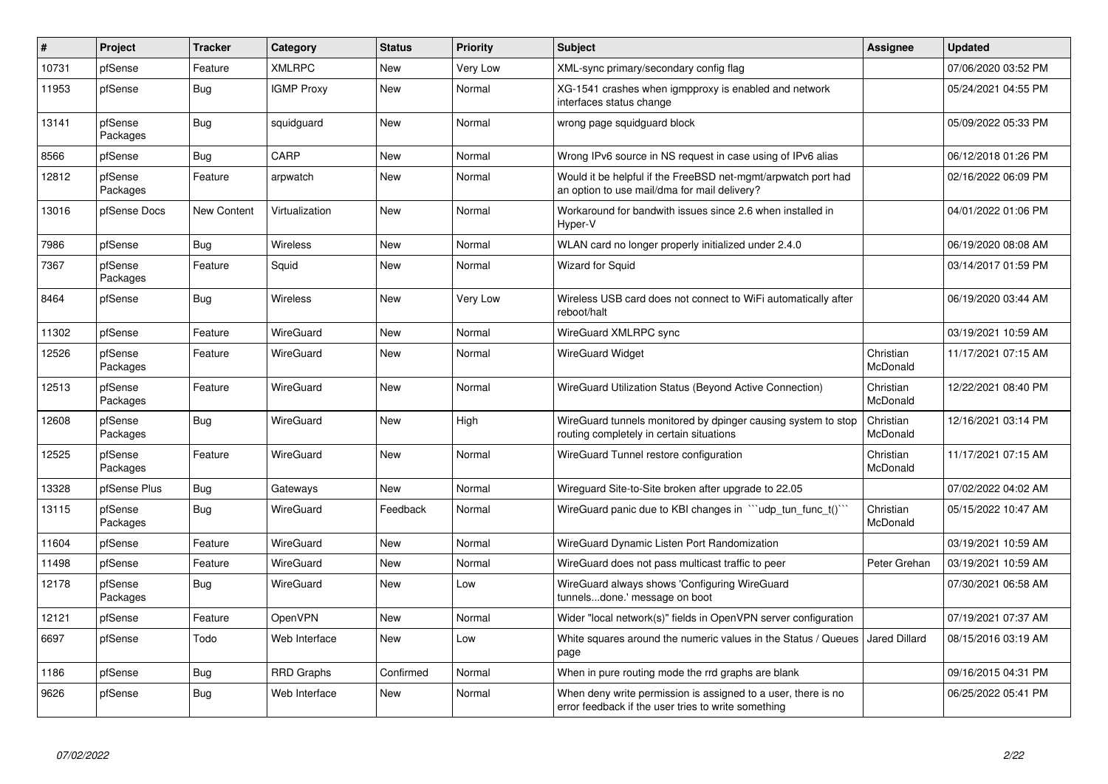| $\vert$ # | Project             | <b>Tracker</b>     | Category          | <b>Status</b> | Priority | <b>Subject</b>                                                                                                       | Assignee              | <b>Updated</b>      |
|-----------|---------------------|--------------------|-------------------|---------------|----------|----------------------------------------------------------------------------------------------------------------------|-----------------------|---------------------|
| 10731     | pfSense             | Feature            | <b>XMLRPC</b>     | New           | Very Low | XML-sync primary/secondary config flag                                                                               |                       | 07/06/2020 03:52 PM |
| 11953     | pfSense             | <b>Bug</b>         | <b>IGMP Proxy</b> | New           | Normal   | XG-1541 crashes when igmpproxy is enabled and network<br>interfaces status change                                    |                       | 05/24/2021 04:55 PM |
| 13141     | pfSense<br>Packages | <b>Bug</b>         | squidguard        | New           | Normal   | wrong page squidguard block                                                                                          |                       | 05/09/2022 05:33 PM |
| 8566      | pfSense             | <b>Bug</b>         | CARP              | New           | Normal   | Wrong IPv6 source in NS request in case using of IPv6 alias                                                          |                       | 06/12/2018 01:26 PM |
| 12812     | pfSense<br>Packages | Feature            | arpwatch          | New           | Normal   | Would it be helpful if the FreeBSD net-mgmt/arpwatch port had<br>an option to use mail/dma for mail delivery?        |                       | 02/16/2022 06:09 PM |
| 13016     | pfSense Docs        | <b>New Content</b> | Virtualization    | New           | Normal   | Workaround for bandwith issues since 2.6 when installed in<br>Hyper-V                                                |                       | 04/01/2022 01:06 PM |
| 7986      | pfSense             | <b>Bug</b>         | Wireless          | New           | Normal   | WLAN card no longer properly initialized under 2.4.0                                                                 |                       | 06/19/2020 08:08 AM |
| 7367      | pfSense<br>Packages | Feature            | Squid             | New           | Normal   | Wizard for Squid                                                                                                     |                       | 03/14/2017 01:59 PM |
| 8464      | pfSense             | <b>Bug</b>         | Wireless          | New           | Very Low | Wireless USB card does not connect to WiFi automatically after<br>reboot/halt                                        |                       | 06/19/2020 03:44 AM |
| 11302     | pfSense             | Feature            | WireGuard         | New           | Normal   | WireGuard XMLRPC sync                                                                                                |                       | 03/19/2021 10:59 AM |
| 12526     | pfSense<br>Packages | Feature            | WireGuard         | New           | Normal   | <b>WireGuard Widget</b>                                                                                              | Christian<br>McDonald | 11/17/2021 07:15 AM |
| 12513     | pfSense<br>Packages | Feature            | WireGuard         | New           | Normal   | WireGuard Utilization Status (Beyond Active Connection)                                                              | Christian<br>McDonald | 12/22/2021 08:40 PM |
| 12608     | pfSense<br>Packages | <b>Bug</b>         | WireGuard         | New           | High     | WireGuard tunnels monitored by dpinger causing system to stop<br>routing completely in certain situations            | Christian<br>McDonald | 12/16/2021 03:14 PM |
| 12525     | pfSense<br>Packages | Feature            | WireGuard         | New           | Normal   | WireGuard Tunnel restore configuration                                                                               | Christian<br>McDonald | 11/17/2021 07:15 AM |
| 13328     | pfSense Plus        | <b>Bug</b>         | Gateways          | New           | Normal   | Wireguard Site-to-Site broken after upgrade to 22.05                                                                 |                       | 07/02/2022 04:02 AM |
| 13115     | pfSense<br>Packages | Bug                | WireGuard         | Feedback      | Normal   | Wire Guard panic due to KBI changes in $\sqrt{u}$ udp tun func t()                                                   | Christian<br>McDonald | 05/15/2022 10:47 AM |
| 11604     | pfSense             | Feature            | WireGuard         | <b>New</b>    | Normal   | WireGuard Dynamic Listen Port Randomization                                                                          |                       | 03/19/2021 10:59 AM |
| 11498     | pfSense             | Feature            | WireGuard         | New           | Normal   | WireGuard does not pass multicast traffic to peer                                                                    | Peter Grehan          | 03/19/2021 10:59 AM |
| 12178     | pfSense<br>Packages | <b>Bug</b>         | WireGuard         | New           | Low      | WireGuard always shows 'Configuring WireGuard<br>tunnelsdone.' message on boot                                       |                       | 07/30/2021 06:58 AM |
| 12121     | pfSense             | Feature            | OpenVPN           | New           | Normal   | Wider "local network(s)" fields in OpenVPN server configuration                                                      |                       | 07/19/2021 07:37 AM |
| 6697      | pfSense             | Todo               | Web Interface     | New           | Low      | White squares around the numeric values in the Status / Queues<br>page                                               | Jared Dillard         | 08/15/2016 03:19 AM |
| 1186      | pfSense             | <b>Bug</b>         | <b>RRD Graphs</b> | Confirmed     | Normal   | When in pure routing mode the rrd graphs are blank                                                                   |                       | 09/16/2015 04:31 PM |
| 9626      | pfSense             | Bug                | Web Interface     | New           | Normal   | When deny write permission is assigned to a user, there is no<br>error feedback if the user tries to write something |                       | 06/25/2022 05:41 PM |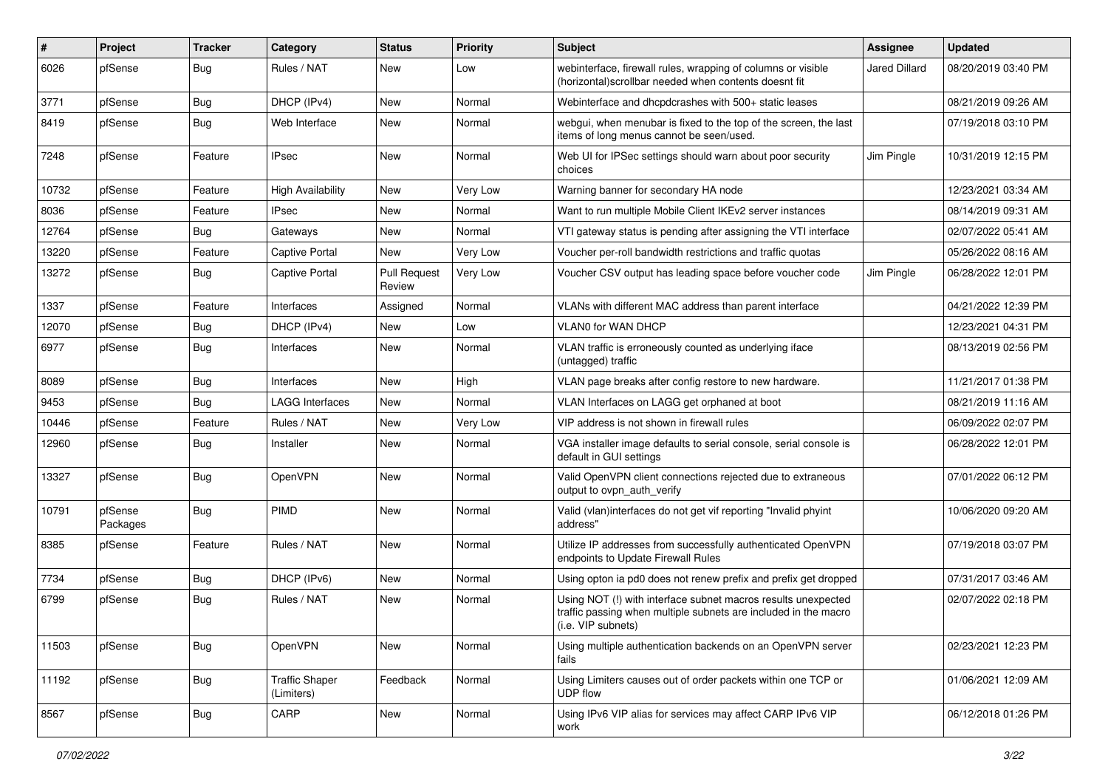| $\vert$ # | Project             | <b>Tracker</b> | Category                            | <b>Status</b>                 | <b>Priority</b> | Subject                                                                                                                                                | <b>Assignee</b> | <b>Updated</b>      |
|-----------|---------------------|----------------|-------------------------------------|-------------------------------|-----------------|--------------------------------------------------------------------------------------------------------------------------------------------------------|-----------------|---------------------|
| 6026      | pfSense             | <b>Bug</b>     | Rules / NAT                         | New                           | Low             | webinterface, firewall rules, wrapping of columns or visible<br>(horizontal) scrollbar needed when contents doesnt fit                                 | Jared Dillard   | 08/20/2019 03:40 PM |
| 3771      | pfSense             | <b>Bug</b>     | DHCP (IPv4)                         | <b>New</b>                    | Normal          | Webinterface and dhcpdcrashes with 500+ static leases                                                                                                  |                 | 08/21/2019 09:26 AM |
| 8419      | pfSense             | <b>Bug</b>     | Web Interface                       | <b>New</b>                    | Normal          | webgui, when menubar is fixed to the top of the screen, the last<br>items of long menus cannot be seen/used.                                           |                 | 07/19/2018 03:10 PM |
| 7248      | pfSense             | Feature        | <b>IPsec</b>                        | <b>New</b>                    | Normal          | Web UI for IPSec settings should warn about poor security<br>choices                                                                                   | Jim Pingle      | 10/31/2019 12:15 PM |
| 10732     | pfSense             | Feature        | <b>High Availability</b>            | <b>New</b>                    | Very Low        | Warning banner for secondary HA node                                                                                                                   |                 | 12/23/2021 03:34 AM |
| 8036      | pfSense             | Feature        | <b>IPsec</b>                        | New                           | Normal          | Want to run multiple Mobile Client IKEv2 server instances                                                                                              |                 | 08/14/2019 09:31 AM |
| 12764     | pfSense             | <b>Bug</b>     | Gateways                            | <b>New</b>                    | Normal          | VTI gateway status is pending after assigning the VTI interface                                                                                        |                 | 02/07/2022 05:41 AM |
| 13220     | pfSense             | Feature        | <b>Captive Portal</b>               | New                           | Very Low        | Voucher per-roll bandwidth restrictions and traffic quotas                                                                                             |                 | 05/26/2022 08:16 AM |
| 13272     | pfSense             | <b>Bug</b>     | <b>Captive Portal</b>               | <b>Pull Request</b><br>Review | Very Low        | Voucher CSV output has leading space before voucher code                                                                                               | Jim Pingle      | 06/28/2022 12:01 PM |
| 1337      | pfSense             | Feature        | Interfaces                          | Assigned                      | Normal          | VLANs with different MAC address than parent interface                                                                                                 |                 | 04/21/2022 12:39 PM |
| 12070     | pfSense             | Bug            | DHCP (IPv4)                         | <b>New</b>                    | Low             | VLAN0 for WAN DHCP                                                                                                                                     |                 | 12/23/2021 04:31 PM |
| 6977      | pfSense             | <b>Bug</b>     | Interfaces                          | <b>New</b>                    | Normal          | VLAN traffic is erroneously counted as underlying iface<br>(untagged) traffic                                                                          |                 | 08/13/2019 02:56 PM |
| 8089      | pfSense             | Bug            | Interfaces                          | <b>New</b>                    | High            | VLAN page breaks after config restore to new hardware.                                                                                                 |                 | 11/21/2017 01:38 PM |
| 9453      | pfSense             | Bug            | <b>LAGG Interfaces</b>              | New                           | Normal          | VLAN Interfaces on LAGG get orphaned at boot                                                                                                           |                 | 08/21/2019 11:16 AM |
| 10446     | pfSense             | Feature        | Rules / NAT                         | New                           | Very Low        | VIP address is not shown in firewall rules                                                                                                             |                 | 06/09/2022 02:07 PM |
| 12960     | pfSense             | <b>Bug</b>     | Installer                           | <b>New</b>                    | Normal          | VGA installer image defaults to serial console, serial console is<br>default in GUI settings                                                           |                 | 06/28/2022 12:01 PM |
| 13327     | pfSense             | Bug            | OpenVPN                             | <b>New</b>                    | Normal          | Valid OpenVPN client connections rejected due to extraneous<br>output to ovpn_auth_verify                                                              |                 | 07/01/2022 06:12 PM |
| 10791     | pfSense<br>Packages | Bug            | <b>PIMD</b>                         | <b>New</b>                    | Normal          | Valid (vlan)interfaces do not get vif reporting "Invalid phyint<br>address"                                                                            |                 | 10/06/2020 09:20 AM |
| 8385      | pfSense             | Feature        | Rules / NAT                         | <b>New</b>                    | Normal          | Utilize IP addresses from successfully authenticated OpenVPN<br>endpoints to Update Firewall Rules                                                     |                 | 07/19/2018 03:07 PM |
| 7734      | pfSense             | <b>Bug</b>     | DHCP (IPv6)                         | <b>New</b>                    | Normal          | Using opton ia pd0 does not renew prefix and prefix get dropped                                                                                        |                 | 07/31/2017 03:46 AM |
| 6799      | pfSense             | Bug            | Rules / NAT                         | New                           | Normal          | Using NOT (!) with interface subnet macros results unexpected<br>traffic passing when multiple subnets are included in the macro<br>(i.e. VIP subnets) |                 | 02/07/2022 02:18 PM |
| 11503     | pfSense             | <b>Bug</b>     | OpenVPN                             | New                           | Normal          | Using multiple authentication backends on an OpenVPN server<br>fails                                                                                   |                 | 02/23/2021 12:23 PM |
| 11192     | pfSense             | <b>Bug</b>     | <b>Traffic Shaper</b><br>(Limiters) | Feedback                      | Normal          | Using Limiters causes out of order packets within one TCP or<br>UDP flow                                                                               |                 | 01/06/2021 12:09 AM |
| 8567      | pfSense             | <b>Bug</b>     | CARP                                | New                           | Normal          | Using IPv6 VIP alias for services may affect CARP IPv6 VIP<br>work                                                                                     |                 | 06/12/2018 01:26 PM |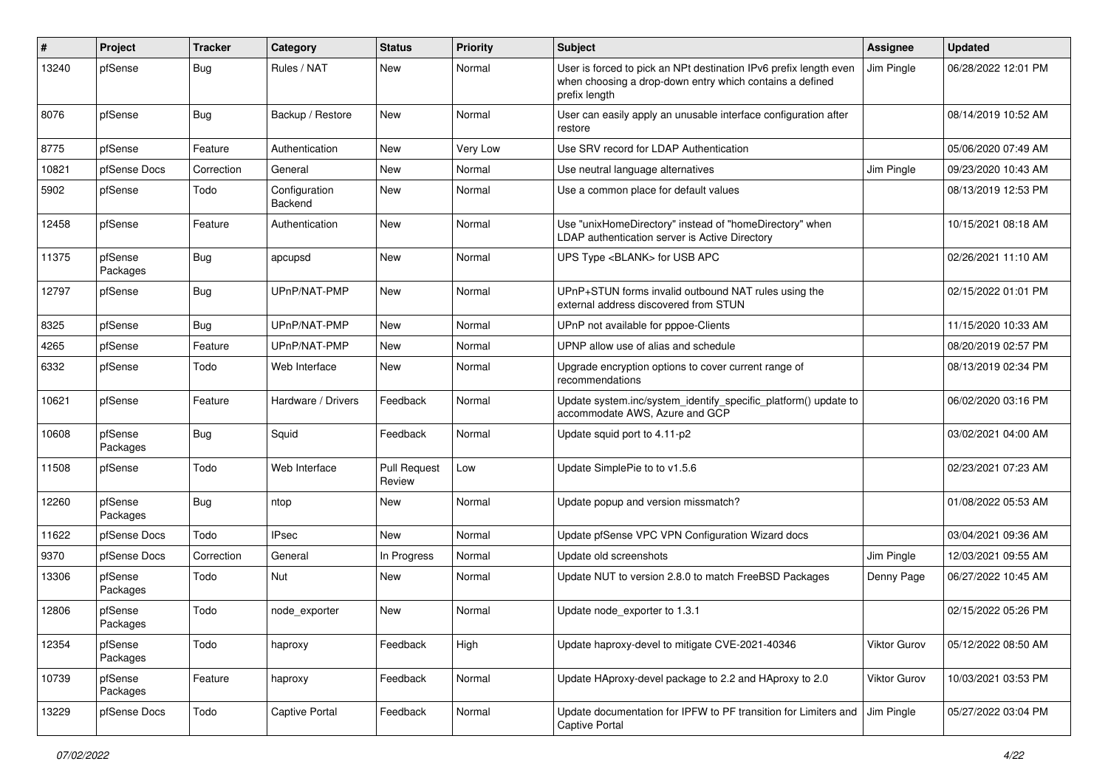| #     | Project             | <b>Tracker</b> | Category                        | <b>Status</b>                 | Priority | <b>Subject</b>                                                                                                                                 | <b>Assignee</b> | <b>Updated</b>      |
|-------|---------------------|----------------|---------------------------------|-------------------------------|----------|------------------------------------------------------------------------------------------------------------------------------------------------|-----------------|---------------------|
| 13240 | pfSense             | <b>Bug</b>     | Rules / NAT                     | New                           | Normal   | User is forced to pick an NPt destination IPv6 prefix length even<br>when choosing a drop-down entry which contains a defined<br>prefix length | Jim Pingle      | 06/28/2022 12:01 PM |
| 8076  | pfSense             | <b>Bug</b>     | Backup / Restore                | New                           | Normal   | User can easily apply an unusable interface configuration after<br>restore                                                                     |                 | 08/14/2019 10:52 AM |
| 8775  | pfSense             | Feature        | Authentication                  | New                           | Very Low | Use SRV record for LDAP Authentication                                                                                                         |                 | 05/06/2020 07:49 AM |
| 10821 | pfSense Docs        | Correction     | General                         | New                           | Normal   | Use neutral language alternatives                                                                                                              | Jim Pingle      | 09/23/2020 10:43 AM |
| 5902  | pfSense             | Todo           | Configuration<br><b>Backend</b> | New                           | Normal   | Use a common place for default values                                                                                                          |                 | 08/13/2019 12:53 PM |
| 12458 | pfSense             | Feature        | Authentication                  | New                           | Normal   | Use "unixHomeDirectory" instead of "homeDirectory" when<br>LDAP authentication server is Active Directory                                      |                 | 10/15/2021 08:18 AM |
| 11375 | pfSense<br>Packages | <b>Bug</b>     | apcupsd                         | New                           | Normal   | UPS Type <blank> for USB APC</blank>                                                                                                           |                 | 02/26/2021 11:10 AM |
| 12797 | pfSense             | <b>Bug</b>     | UPnP/NAT-PMP                    | New                           | Normal   | UPnP+STUN forms invalid outbound NAT rules using the<br>external address discovered from STUN                                                  |                 | 02/15/2022 01:01 PM |
| 8325  | pfSense             | <b>Bug</b>     | UPnP/NAT-PMP                    | New                           | Normal   | UPnP not available for pppoe-Clients                                                                                                           |                 | 11/15/2020 10:33 AM |
| 4265  | pfSense             | Feature        | UPnP/NAT-PMP                    | New                           | Normal   | UPNP allow use of alias and schedule                                                                                                           |                 | 08/20/2019 02:57 PM |
| 6332  | pfSense             | Todo           | Web Interface                   | New                           | Normal   | Upgrade encryption options to cover current range of<br>recommendations                                                                        |                 | 08/13/2019 02:34 PM |
| 10621 | pfSense             | Feature        | Hardware / Drivers              | Feedback                      | Normal   | Update system.inc/system_identify_specific_platform() update to<br>accommodate AWS, Azure and GCP                                              |                 | 06/02/2020 03:16 PM |
| 10608 | pfSense<br>Packages | <b>Bug</b>     | Squid                           | Feedback                      | Normal   | Update squid port to 4.11-p2                                                                                                                   |                 | 03/02/2021 04:00 AM |
| 11508 | pfSense             | Todo           | Web Interface                   | <b>Pull Request</b><br>Review | Low      | Update SimplePie to to v1.5.6                                                                                                                  |                 | 02/23/2021 07:23 AM |
| 12260 | pfSense<br>Packages | Bug            | ntop                            | New                           | Normal   | Update popup and version missmatch?                                                                                                            |                 | 01/08/2022 05:53 AM |
| 11622 | pfSense Docs        | Todo           | <b>IPsec</b>                    | New                           | Normal   | Update pfSense VPC VPN Configuration Wizard docs                                                                                               |                 | 03/04/2021 09:36 AM |
| 9370  | pfSense Docs        | Correction     | General                         | In Progress                   | Normal   | Update old screenshots                                                                                                                         | Jim Pingle      | 12/03/2021 09:55 AM |
| 13306 | pfSense<br>Packages | Todo           | Nut                             | New                           | Normal   | Update NUT to version 2.8.0 to match FreeBSD Packages                                                                                          | Denny Page      | 06/27/2022 10:45 AM |
| 12806 | pfSense<br>Packages | Todo           | node_exporter                   | New                           | Normal   | Update node_exporter to 1.3.1                                                                                                                  |                 | 02/15/2022 05:26 PM |
| 12354 | pfSense<br>Packages | Todo           | haproxy                         | Feedback                      | High     | Update haproxy-devel to mitigate CVE-2021-40346                                                                                                | Viktor Gurov    | 05/12/2022 08:50 AM |
| 10739 | pfSense<br>Packages | Feature        | haproxy                         | Feedback                      | Normal   | Update HAproxy-devel package to 2.2 and HAproxy to 2.0                                                                                         | Viktor Gurov    | 10/03/2021 03:53 PM |
| 13229 | pfSense Docs        | Todo           | Captive Portal                  | Feedback                      | Normal   | Update documentation for IPFW to PF transition for Limiters and<br><b>Captive Portal</b>                                                       | Jim Pingle      | 05/27/2022 03:04 PM |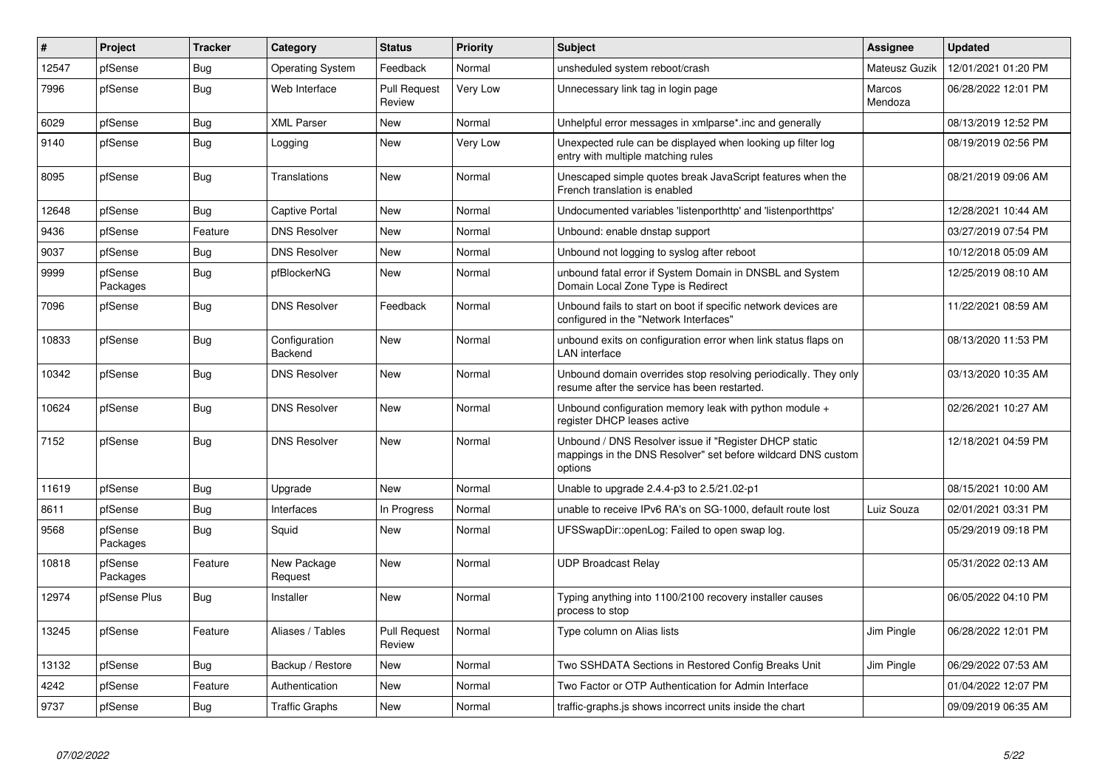| $\vert$ # | Project             | <b>Tracker</b> | Category                 | <b>Status</b>                 | Priority | <b>Subject</b>                                                                                                                   | <b>Assignee</b>          | <b>Updated</b>      |
|-----------|---------------------|----------------|--------------------------|-------------------------------|----------|----------------------------------------------------------------------------------------------------------------------------------|--------------------------|---------------------|
| 12547     | pfSense             | Bug            | <b>Operating System</b>  | Feedback                      | Normal   | unsheduled system reboot/crash                                                                                                   | Mateusz Guzik            | 12/01/2021 01:20 PM |
| 7996      | pfSense             | <b>Bug</b>     | Web Interface            | <b>Pull Request</b><br>Review | Very Low | Unnecessary link tag in login page                                                                                               | <b>Marcos</b><br>Mendoza | 06/28/2022 12:01 PM |
| 6029      | pfSense             | Bug            | <b>XML Parser</b>        | <b>New</b>                    | Normal   | Unhelpful error messages in xmlparse*.inc and generally                                                                          |                          | 08/13/2019 12:52 PM |
| 9140      | pfSense             | <b>Bug</b>     | Logging                  | <b>New</b>                    | Very Low | Unexpected rule can be displayed when looking up filter log<br>entry with multiple matching rules                                |                          | 08/19/2019 02:56 PM |
| 8095      | pfSense             | <b>Bug</b>     | Translations             | New                           | Normal   | Unescaped simple quotes break JavaScript features when the<br>French translation is enabled                                      |                          | 08/21/2019 09:06 AM |
| 12648     | pfSense             | Bug            | <b>Captive Portal</b>    | New                           | Normal   | Undocumented variables 'listenporthttp' and 'listenporthttps'                                                                    |                          | 12/28/2021 10:44 AM |
| 9436      | pfSense             | Feature        | <b>DNS Resolver</b>      | <b>New</b>                    | Normal   | Unbound: enable dnstap support                                                                                                   |                          | 03/27/2019 07:54 PM |
| 9037      | pfSense             | <b>Bug</b>     | <b>DNS Resolver</b>      | <b>New</b>                    | Normal   | Unbound not logging to syslog after reboot                                                                                       |                          | 10/12/2018 05:09 AM |
| 9999      | pfSense<br>Packages | <b>Bug</b>     | pfBlockerNG              | <b>New</b>                    | Normal   | unbound fatal error if System Domain in DNSBL and System<br>Domain Local Zone Type is Redirect                                   |                          | 12/25/2019 08:10 AM |
| 7096      | pfSense             | Bug            | <b>DNS Resolver</b>      | Feedback                      | Normal   | Unbound fails to start on boot if specific network devices are<br>configured in the "Network Interfaces"                         |                          | 11/22/2021 08:59 AM |
| 10833     | pfSense             | <b>Bug</b>     | Configuration<br>Backend | New                           | Normal   | unbound exits on configuration error when link status flaps on<br>LAN interface                                                  |                          | 08/13/2020 11:53 PM |
| 10342     | pfSense             | <b>Bug</b>     | <b>DNS Resolver</b>      | New                           | Normal   | Unbound domain overrides stop resolving periodically. They only<br>resume after the service has been restarted.                  |                          | 03/13/2020 10:35 AM |
| 10624     | pfSense             | <b>Bug</b>     | <b>DNS Resolver</b>      | <b>New</b>                    | Normal   | Unbound configuration memory leak with python module +<br>register DHCP leases active                                            |                          | 02/26/2021 10:27 AM |
| 7152      | pfSense             | <b>Bug</b>     | <b>DNS Resolver</b>      | <b>New</b>                    | Normal   | Unbound / DNS Resolver issue if "Register DHCP static<br>mappings in the DNS Resolver" set before wildcard DNS custom<br>options |                          | 12/18/2021 04:59 PM |
| 11619     | pfSense             | <b>Bug</b>     | Upgrade                  | <b>New</b>                    | Normal   | Unable to upgrade 2.4.4-p3 to 2.5/21.02-p1                                                                                       |                          | 08/15/2021 10:00 AM |
| 8611      | pfSense             | <b>Bug</b>     | Interfaces               | In Progress                   | Normal   | unable to receive IPv6 RA's on SG-1000, default route lost                                                                       | Luiz Souza               | 02/01/2021 03:31 PM |
| 9568      | pfSense<br>Packages | Bug            | Squid                    | <b>New</b>                    | Normal   | UFSSwapDir::openLog: Failed to open swap log.                                                                                    |                          | 05/29/2019 09:18 PM |
| 10818     | pfSense<br>Packages | Feature        | New Package<br>Request   | <b>New</b>                    | Normal   | <b>UDP Broadcast Relay</b>                                                                                                       |                          | 05/31/2022 02:13 AM |
| 12974     | pfSense Plus        | <b>Bug</b>     | Installer                | New                           | Normal   | Typing anything into 1100/2100 recovery installer causes<br>process to stop                                                      |                          | 06/05/2022 04:10 PM |
| 13245     | pfSense             | Feature        | Aliases / Tables         | <b>Pull Request</b><br>Review | Normal   | Type column on Alias lists                                                                                                       | Jim Pingle               | 06/28/2022 12:01 PM |
| 13132     | pfSense             | Bug            | Backup / Restore         | New                           | Normal   | Two SSHDATA Sections in Restored Config Breaks Unit                                                                              | Jim Pingle               | 06/29/2022 07:53 AM |
| 4242      | pfSense             | Feature        | Authentication           | <b>New</b>                    | Normal   | Two Factor or OTP Authentication for Admin Interface                                                                             |                          | 01/04/2022 12:07 PM |
| 9737      | pfSense             | Bug            | <b>Traffic Graphs</b>    | New                           | Normal   | traffic-graphs is shows incorrect units inside the chart                                                                         |                          | 09/09/2019 06:35 AM |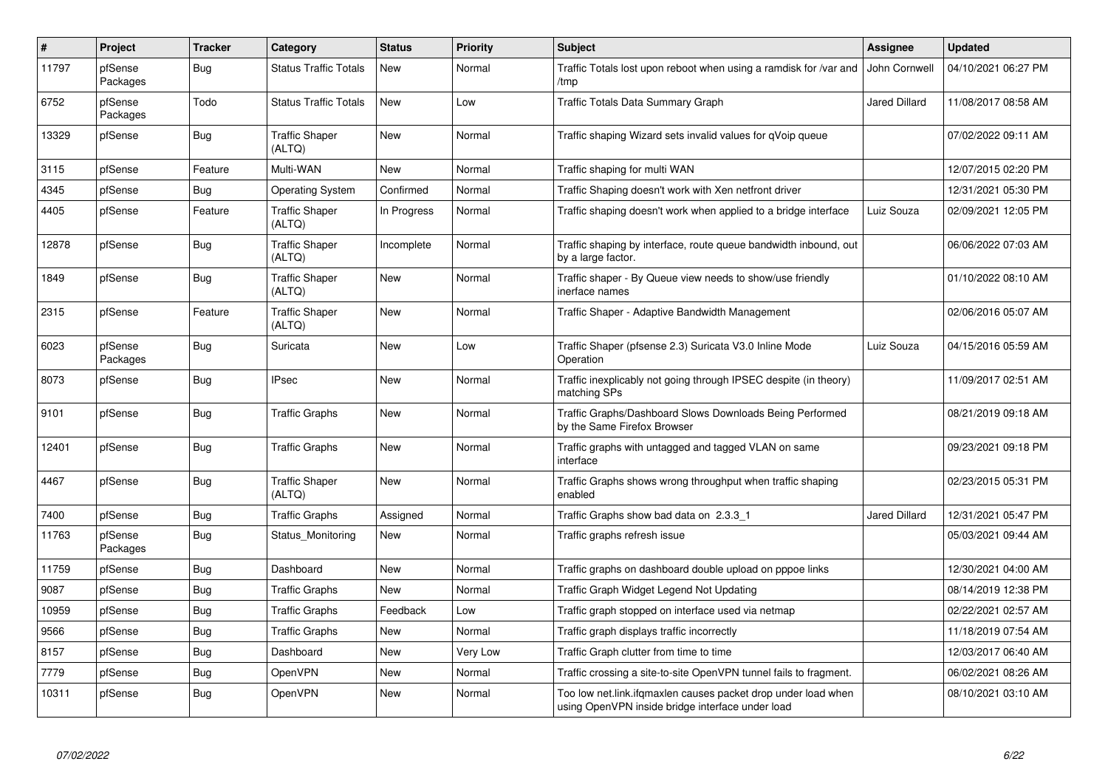| $\vert$ # | <b>Project</b>      | <b>Tracker</b> | Category                        | <b>Status</b> | <b>Priority</b> | <b>Subject</b>                                                                                                    | Assignee             | <b>Updated</b>      |
|-----------|---------------------|----------------|---------------------------------|---------------|-----------------|-------------------------------------------------------------------------------------------------------------------|----------------------|---------------------|
| 11797     | pfSense<br>Packages | <b>Bug</b>     | <b>Status Traffic Totals</b>    | New           | Normal          | Traffic Totals lost upon reboot when using a ramdisk for /var and<br>/tmp                                         | John Cornwell        | 04/10/2021 06:27 PM |
| 6752      | pfSense<br>Packages | Todo           | <b>Status Traffic Totals</b>    | New           | Low             | Traffic Totals Data Summary Graph                                                                                 | <b>Jared Dillard</b> | 11/08/2017 08:58 AM |
| 13329     | pfSense             | Bug            | <b>Traffic Shaper</b><br>(ALTQ) | New           | Normal          | Traffic shaping Wizard sets invalid values for qVoip queue                                                        |                      | 07/02/2022 09:11 AM |
| 3115      | pfSense             | Feature        | Multi-WAN                       | New           | Normal          | Traffic shaping for multi WAN                                                                                     |                      | 12/07/2015 02:20 PM |
| 4345      | pfSense             | <b>Bug</b>     | <b>Operating System</b>         | Confirmed     | Normal          | Traffic Shaping doesn't work with Xen netfront driver                                                             |                      | 12/31/2021 05:30 PM |
| 4405      | pfSense             | Feature        | <b>Traffic Shaper</b><br>(ALTQ) | In Progress   | Normal          | Traffic shaping doesn't work when applied to a bridge interface                                                   | Luiz Souza           | 02/09/2021 12:05 PM |
| 12878     | pfSense             | Bug            | <b>Traffic Shaper</b><br>(ALTQ) | Incomplete    | Normal          | Traffic shaping by interface, route queue bandwidth inbound, out<br>by a large factor.                            |                      | 06/06/2022 07:03 AM |
| 1849      | pfSense             | Bug            | <b>Traffic Shaper</b><br>(ALTQ) | New           | Normal          | Traffic shaper - By Queue view needs to show/use friendly<br>inerface names                                       |                      | 01/10/2022 08:10 AM |
| 2315      | pfSense             | Feature        | <b>Traffic Shaper</b><br>(ALTQ) | New           | Normal          | Traffic Shaper - Adaptive Bandwidth Management                                                                    |                      | 02/06/2016 05:07 AM |
| 6023      | pfSense<br>Packages | Bug            | Suricata                        | New           | Low             | Traffic Shaper (pfsense 2.3) Suricata V3.0 Inline Mode<br>Operation                                               | Luiz Souza           | 04/15/2016 05:59 AM |
| 8073      | pfSense             | <b>Bug</b>     | <b>IPsec</b>                    | <b>New</b>    | Normal          | Traffic inexplicably not going through IPSEC despite (in theory)<br>matching SPs                                  |                      | 11/09/2017 02:51 AM |
| 9101      | pfSense             | Bug            | <b>Traffic Graphs</b>           | New           | Normal          | Traffic Graphs/Dashboard Slows Downloads Being Performed<br>by the Same Firefox Browser                           |                      | 08/21/2019 09:18 AM |
| 12401     | pfSense             | Bug            | <b>Traffic Graphs</b>           | New           | Normal          | Traffic graphs with untagged and tagged VLAN on same<br>interface                                                 |                      | 09/23/2021 09:18 PM |
| 4467      | pfSense             | Bug            | <b>Traffic Shaper</b><br>(ALTQ) | New           | Normal          | Traffic Graphs shows wrong throughput when traffic shaping<br>enabled                                             |                      | 02/23/2015 05:31 PM |
| 7400      | pfSense             | Bug            | <b>Traffic Graphs</b>           | Assigned      | Normal          | Traffic Graphs show bad data on 2.3.3 1                                                                           | <b>Jared Dillard</b> | 12/31/2021 05:47 PM |
| 11763     | pfSense<br>Packages | <b>Bug</b>     | Status_Monitoring               | New           | Normal          | Traffic graphs refresh issue                                                                                      |                      | 05/03/2021 09:44 AM |
| 11759     | pfSense             | Bug            | Dashboard                       | New           | Normal          | Traffic graphs on dashboard double upload on pppoe links                                                          |                      | 12/30/2021 04:00 AM |
| 9087      | pfSense             | <b>Bug</b>     | <b>Traffic Graphs</b>           | New           | Normal          | Traffic Graph Widget Legend Not Updating                                                                          |                      | 08/14/2019 12:38 PM |
| 10959     | pfSense             | Bug            | <b>Traffic Graphs</b>           | Feedback      | Low             | Traffic graph stopped on interface used via netmap                                                                |                      | 02/22/2021 02:57 AM |
| 9566      | pfSense             | <b>Bug</b>     | <b>Traffic Graphs</b>           | New           | Normal          | Traffic graph displays traffic incorrectly                                                                        |                      | 11/18/2019 07:54 AM |
| 8157      | pfSense             | <b>Bug</b>     | Dashboard                       | New           | Very Low        | Traffic Graph clutter from time to time                                                                           |                      | 12/03/2017 06:40 AM |
| 7779      | pfSense             | <b>Bug</b>     | OpenVPN                         | New           | Normal          | Traffic crossing a site-to-site OpenVPN tunnel fails to fragment.                                                 |                      | 06/02/2021 08:26 AM |
| 10311     | pfSense             | <b>Bug</b>     | OpenVPN                         | New           | Normal          | Too low net.link.ifqmaxlen causes packet drop under load when<br>using OpenVPN inside bridge interface under load |                      | 08/10/2021 03:10 AM |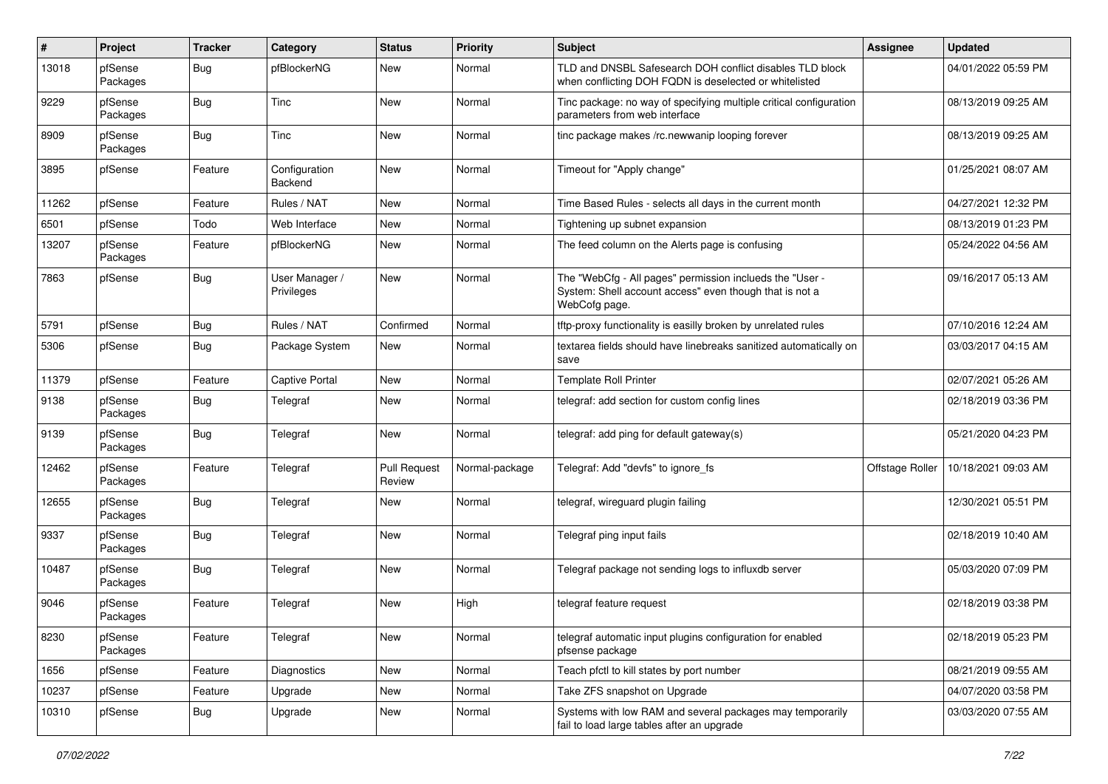| $\pmb{\#}$ | Project             | <b>Tracker</b> | Category                     | <b>Status</b>                 | <b>Priority</b> | <b>Subject</b>                                                                                                                       | <b>Assignee</b> | <b>Updated</b>      |
|------------|---------------------|----------------|------------------------------|-------------------------------|-----------------|--------------------------------------------------------------------------------------------------------------------------------------|-----------------|---------------------|
| 13018      | pfSense<br>Packages | <b>Bug</b>     | pfBlockerNG                  | New                           | Normal          | TLD and DNSBL Safesearch DOH conflict disables TLD block<br>when conflicting DOH FQDN is deselected or whitelisted                   |                 | 04/01/2022 05:59 PM |
| 9229       | pfSense<br>Packages | Bug            | Tinc                         | New                           | Normal          | Tinc package: no way of specifying multiple critical configuration<br>parameters from web interface                                  |                 | 08/13/2019 09:25 AM |
| 8909       | pfSense<br>Packages | Bug            | Tinc                         | <b>New</b>                    | Normal          | tinc package makes /rc.newwanip looping forever                                                                                      |                 | 08/13/2019 09:25 AM |
| 3895       | pfSense             | Feature        | Configuration<br>Backend     | New                           | Normal          | Timeout for "Apply change"                                                                                                           |                 | 01/25/2021 08:07 AM |
| 11262      | pfSense             | Feature        | Rules / NAT                  | New                           | Normal          | Time Based Rules - selects all days in the current month                                                                             |                 | 04/27/2021 12:32 PM |
| 6501       | pfSense             | Todo           | Web Interface                | New                           | Normal          | Tightening up subnet expansion                                                                                                       |                 | 08/13/2019 01:23 PM |
| 13207      | pfSense<br>Packages | Feature        | pfBlockerNG                  | New                           | Normal          | The feed column on the Alerts page is confusing                                                                                      |                 | 05/24/2022 04:56 AM |
| 7863       | pfSense             | <b>Bug</b>     | User Manager /<br>Privileges | New                           | Normal          | The "WebCfg - All pages" permission inclueds the "User -<br>System: Shell account access" even though that is not a<br>WebCofg page. |                 | 09/16/2017 05:13 AM |
| 5791       | pfSense             | Bug            | Rules / NAT                  | Confirmed                     | Normal          | tftp-proxy functionality is easilly broken by unrelated rules                                                                        |                 | 07/10/2016 12:24 AM |
| 5306       | pfSense             | <b>Bug</b>     | Package System               | New                           | Normal          | textarea fields should have linebreaks sanitized automatically on<br>save                                                            |                 | 03/03/2017 04:15 AM |
| 11379      | pfSense             | Feature        | <b>Captive Portal</b>        | New                           | Normal          | <b>Template Roll Printer</b>                                                                                                         |                 | 02/07/2021 05:26 AM |
| 9138       | pfSense<br>Packages | Bug            | Telegraf                     | New                           | Normal          | telegraf: add section for custom config lines                                                                                        |                 | 02/18/2019 03:36 PM |
| 9139       | pfSense<br>Packages | Bug            | Telegraf                     | New                           | Normal          | telegraf: add ping for default gateway(s)                                                                                            |                 | 05/21/2020 04:23 PM |
| 12462      | pfSense<br>Packages | Feature        | Telegraf                     | <b>Pull Request</b><br>Review | Normal-package  | Telegraf: Add "devfs" to ignore_fs                                                                                                   | Offstage Roller | 10/18/2021 09:03 AM |
| 12655      | pfSense<br>Packages | <b>Bug</b>     | Telegraf                     | New                           | Normal          | telegraf, wireguard plugin failing                                                                                                   |                 | 12/30/2021 05:51 PM |
| 9337       | pfSense<br>Packages | <b>Bug</b>     | Telegraf                     | New                           | Normal          | Telegraf ping input fails                                                                                                            |                 | 02/18/2019 10:40 AM |
| 10487      | pfSense<br>Packages | Bug            | Telegraf                     | New                           | Normal          | Telegraf package not sending logs to influxdb server                                                                                 |                 | 05/03/2020 07:09 PM |
| 9046       | pfSense<br>Packages | Feature        | Telegraf                     | New                           | High            | telegraf feature request                                                                                                             |                 | 02/18/2019 03:38 PM |
| 8230       | pfSense<br>Packages | Feature        | Telegraf                     | New                           | Normal          | telegraf automatic input plugins configuration for enabled<br>pfsense package                                                        |                 | 02/18/2019 05:23 PM |
| 1656       | pfSense             | Feature        | Diagnostics                  | New                           | Normal          | Teach pfctl to kill states by port number                                                                                            |                 | 08/21/2019 09:55 AM |
| 10237      | pfSense             | Feature        | Upgrade                      | New                           | Normal          | Take ZFS snapshot on Upgrade                                                                                                         |                 | 04/07/2020 03:58 PM |
| 10310      | pfSense             | <b>Bug</b>     | Upgrade                      | New                           | Normal          | Systems with low RAM and several packages may temporarily<br>fail to load large tables after an upgrade                              |                 | 03/03/2020 07:55 AM |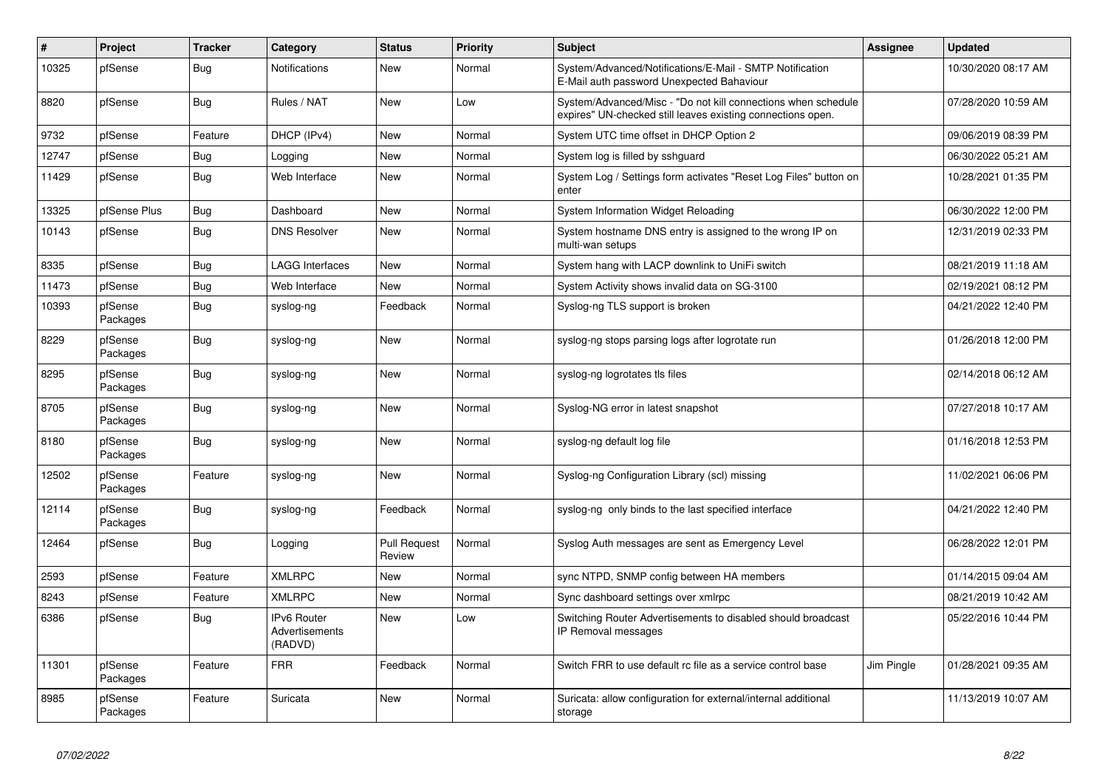| $\sharp$ | Project             | <b>Tracker</b> | Category                                        | <b>Status</b>                 | Priority | <b>Subject</b>                                                                                                               | Assignee   | <b>Updated</b>      |
|----------|---------------------|----------------|-------------------------------------------------|-------------------------------|----------|------------------------------------------------------------------------------------------------------------------------------|------------|---------------------|
| 10325    | pfSense             | Bug            | <b>Notifications</b>                            | <b>New</b>                    | Normal   | System/Advanced/Notifications/E-Mail - SMTP Notification<br>E-Mail auth password Unexpected Bahaviour                        |            | 10/30/2020 08:17 AM |
| 8820     | pfSense             | <b>Bug</b>     | Rules / NAT                                     | <b>New</b>                    | Low      | System/Advanced/Misc - "Do not kill connections when schedule<br>expires" UN-checked still leaves existing connections open. |            | 07/28/2020 10:59 AM |
| 9732     | pfSense             | Feature        | DHCP (IPv4)                                     | New                           | Normal   | System UTC time offset in DHCP Option 2                                                                                      |            | 09/06/2019 08:39 PM |
| 12747    | pfSense             | <b>Bug</b>     | Logging                                         | New                           | Normal   | System log is filled by sshguard                                                                                             |            | 06/30/2022 05:21 AM |
| 11429    | pfSense             | Bug            | Web Interface                                   | New                           | Normal   | System Log / Settings form activates "Reset Log Files" button on<br>enter                                                    |            | 10/28/2021 01:35 PM |
| 13325    | pfSense Plus        | <b>Bug</b>     | Dashboard                                       | <b>New</b>                    | Normal   | System Information Widget Reloading                                                                                          |            | 06/30/2022 12:00 PM |
| 10143    | pfSense             | Bug            | <b>DNS Resolver</b>                             | New                           | Normal   | System hostname DNS entry is assigned to the wrong IP on<br>multi-wan setups                                                 |            | 12/31/2019 02:33 PM |
| 8335     | pfSense             | Bug            | <b>LAGG Interfaces</b>                          | <b>New</b>                    | Normal   | System hang with LACP downlink to UniFi switch                                                                               |            | 08/21/2019 11:18 AM |
| 11473    | pfSense             | <b>Bug</b>     | Web Interface                                   | <b>New</b>                    | Normal   | System Activity shows invalid data on SG-3100                                                                                |            | 02/19/2021 08:12 PM |
| 10393    | pfSense<br>Packages | Bug            | syslog-ng                                       | Feedback                      | Normal   | Syslog-ng TLS support is broken                                                                                              |            | 04/21/2022 12:40 PM |
| 8229     | pfSense<br>Packages | Bug            | syslog-ng                                       | New                           | Normal   | syslog-ng stops parsing logs after logrotate run                                                                             |            | 01/26/2018 12:00 PM |
| 8295     | pfSense<br>Packages | Bug            | syslog-ng                                       | New                           | Normal   | syslog-ng logrotates tls files                                                                                               |            | 02/14/2018 06:12 AM |
| 8705     | pfSense<br>Packages | <b>Bug</b>     | syslog-ng                                       | New                           | Normal   | Syslog-NG error in latest snapshot                                                                                           |            | 07/27/2018 10:17 AM |
| 8180     | pfSense<br>Packages | Bug            | syslog-ng                                       | New                           | Normal   | syslog-ng default log file                                                                                                   |            | 01/16/2018 12:53 PM |
| 12502    | pfSense<br>Packages | Feature        | syslog-ng                                       | <b>New</b>                    | Normal   | Syslog-ng Configuration Library (scl) missing                                                                                |            | 11/02/2021 06:06 PM |
| 12114    | pfSense<br>Packages | <b>Bug</b>     | syslog-ng                                       | Feedback                      | Normal   | syslog-ng only binds to the last specified interface                                                                         |            | 04/21/2022 12:40 PM |
| 12464    | pfSense             | Bug            | Logging                                         | <b>Pull Request</b><br>Review | Normal   | Syslog Auth messages are sent as Emergency Level                                                                             |            | 06/28/2022 12:01 PM |
| 2593     | pfSense             | Feature        | <b>XMLRPC</b>                                   | New                           | Normal   | sync NTPD, SNMP config between HA members                                                                                    |            | 01/14/2015 09:04 AM |
| 8243     | pfSense             | Feature        | <b>XMLRPC</b>                                   | <b>New</b>                    | Normal   | Sync dashboard settings over xmlrpc                                                                                          |            | 08/21/2019 10:42 AM |
| 6386     | pfSense             | Bug            | <b>IPv6 Router</b><br>Advertisements<br>(RADVD) | <b>New</b>                    | Low      | Switching Router Advertisements to disabled should broadcast<br>IP Removal messages                                          |            | 05/22/2016 10:44 PM |
| 11301    | pfSense<br>Packages | Feature        | <b>FRR</b>                                      | Feedback                      | Normal   | Switch FRR to use default rc file as a service control base                                                                  | Jim Pingle | 01/28/2021 09:35 AM |
| 8985     | pfSense<br>Packages | Feature        | Suricata                                        | New                           | Normal   | Suricata: allow configuration for external/internal additional<br>storage                                                    |            | 11/13/2019 10:07 AM |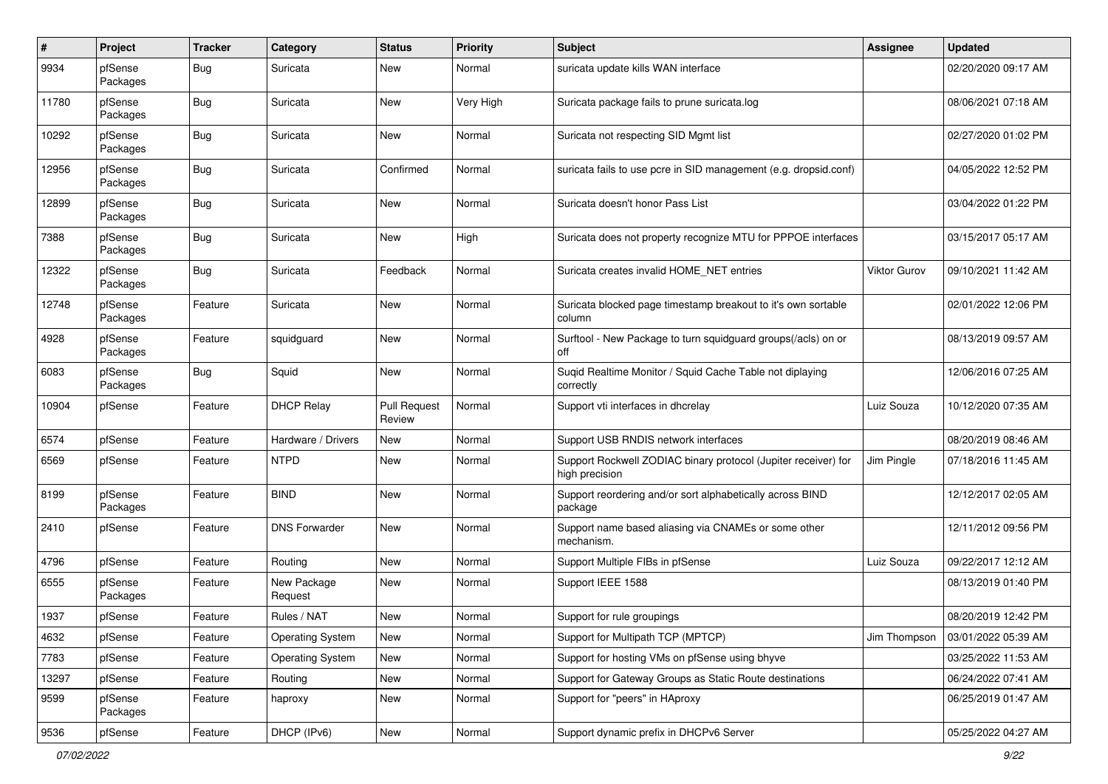| $\pmb{\#}$ | Project             | <b>Tracker</b> | Category                | <b>Status</b>                 | <b>Priority</b> | <b>Subject</b>                                                                   | <b>Assignee</b>     | <b>Updated</b>      |
|------------|---------------------|----------------|-------------------------|-------------------------------|-----------------|----------------------------------------------------------------------------------|---------------------|---------------------|
| 9934       | pfSense<br>Packages | Bug            | Suricata                | New                           | Normal          | suricata update kills WAN interface                                              |                     | 02/20/2020 09:17 AM |
| 11780      | pfSense<br>Packages | <b>Bug</b>     | Suricata                | New                           | Very High       | Suricata package fails to prune suricata.log                                     |                     | 08/06/2021 07:18 AM |
| 10292      | pfSense<br>Packages | <b>Bug</b>     | Suricata                | New                           | Normal          | Suricata not respecting SID Mgmt list                                            |                     | 02/27/2020 01:02 PM |
| 12956      | pfSense<br>Packages | <b>Bug</b>     | Suricata                | Confirmed                     | Normal          | suricata fails to use pcre in SID management (e.g. dropsid.conf)                 |                     | 04/05/2022 12:52 PM |
| 12899      | pfSense<br>Packages | <b>Bug</b>     | Suricata                | New                           | Normal          | Suricata doesn't honor Pass List                                                 |                     | 03/04/2022 01:22 PM |
| 7388       | pfSense<br>Packages | Bug            | Suricata                | New                           | High            | Suricata does not property recognize MTU for PPPOE interfaces                    |                     | 03/15/2017 05:17 AM |
| 12322      | pfSense<br>Packages | Bug            | Suricata                | Feedback                      | Normal          | Suricata creates invalid HOME NET entries                                        | <b>Viktor Gurov</b> | 09/10/2021 11:42 AM |
| 12748      | pfSense<br>Packages | Feature        | Suricata                | New                           | Normal          | Suricata blocked page timestamp breakout to it's own sortable<br>column          |                     | 02/01/2022 12:06 PM |
| 4928       | pfSense<br>Packages | Feature        | squidguard              | New                           | Normal          | Surftool - New Package to turn squidguard groups(/acls) on or<br>off             |                     | 08/13/2019 09:57 AM |
| 6083       | pfSense<br>Packages | Bug            | Squid                   | <b>New</b>                    | Normal          | Suqid Realtime Monitor / Squid Cache Table not diplaying<br>correctly            |                     | 12/06/2016 07:25 AM |
| 10904      | pfSense             | Feature        | <b>DHCP Relay</b>       | <b>Pull Request</b><br>Review | Normal          | Support vti interfaces in dhcrelay                                               | Luiz Souza          | 10/12/2020 07:35 AM |
| 6574       | pfSense             | Feature        | Hardware / Drivers      | New                           | Normal          | Support USB RNDIS network interfaces                                             |                     | 08/20/2019 08:46 AM |
| 6569       | pfSense             | Feature        | <b>NTPD</b>             | New                           | Normal          | Support Rockwell ZODIAC binary protocol (Jupiter receiver) for<br>high precision | Jim Pingle          | 07/18/2016 11:45 AM |
| 8199       | pfSense<br>Packages | Feature        | <b>BIND</b>             | New                           | Normal          | Support reordering and/or sort alphabetically across BIND<br>package             |                     | 12/12/2017 02:05 AM |
| 2410       | pfSense             | Feature        | <b>DNS Forwarder</b>    | New                           | Normal          | Support name based aliasing via CNAMEs or some other<br>mechanism.               |                     | 12/11/2012 09:56 PM |
| 4796       | pfSense             | Feature        | Routing                 | <b>New</b>                    | Normal          | Support Multiple FIBs in pfSense                                                 | Luiz Souza          | 09/22/2017 12:12 AM |
| 6555       | pfSense<br>Packages | Feature        | New Package<br>Request  | New                           | Normal          | Support IEEE 1588                                                                |                     | 08/13/2019 01:40 PM |
| 1937       | pfSense             | Feature        | Rules / NAT             | New                           | Normal          | Support for rule groupings                                                       |                     | 08/20/2019 12:42 PM |
| 4632       | pfSense             | Feature        | <b>Operating System</b> | New                           | Normal          | Support for Multipath TCP (MPTCP)                                                | Jim Thompson        | 03/01/2022 05:39 AM |
| 7783       | pfSense             | Feature        | <b>Operating System</b> | New                           | Normal          | Support for hosting VMs on pfSense using bhyve                                   |                     | 03/25/2022 11:53 AM |
| 13297      | pfSense             | Feature        | Routing                 | New                           | Normal          | Support for Gateway Groups as Static Route destinations                          |                     | 06/24/2022 07:41 AM |
| 9599       | pfSense<br>Packages | Feature        | haproxy                 | New                           | Normal          | Support for "peers" in HAproxy                                                   |                     | 06/25/2019 01:47 AM |
| 9536       | pfSense             | Feature        | DHCP (IPv6)             | New                           | Normal          | Support dynamic prefix in DHCPv6 Server                                          |                     | 05/25/2022 04:27 AM |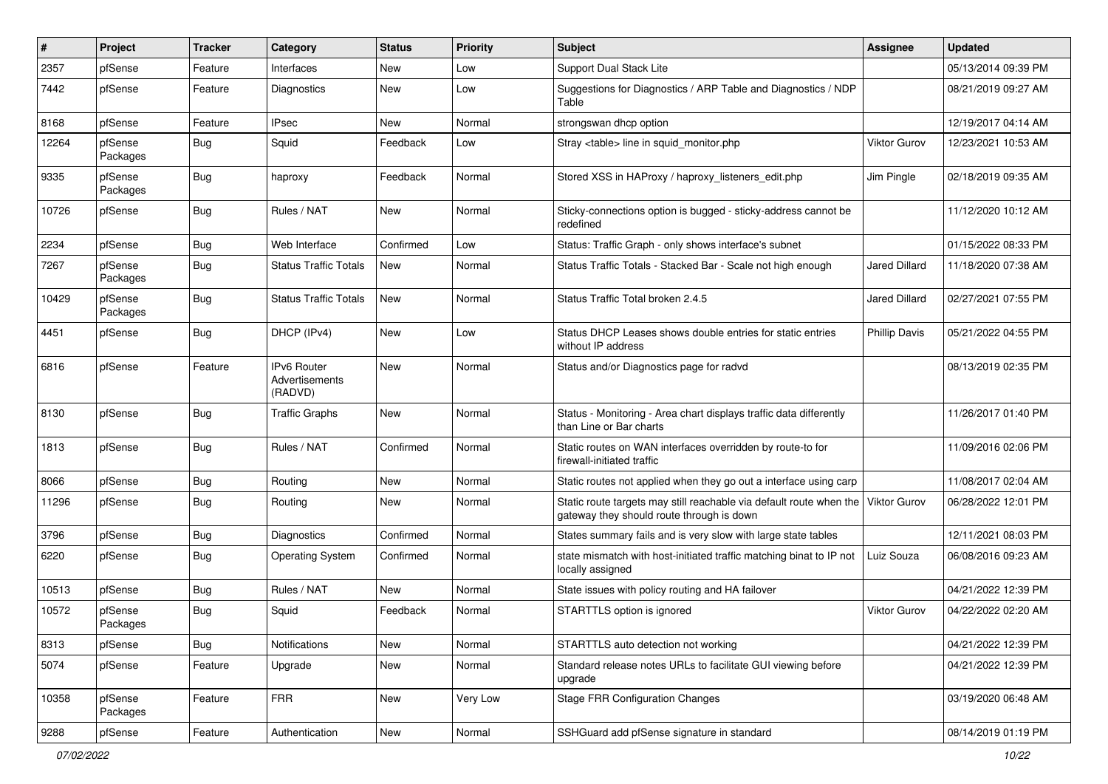| #     | Project             | Tracker    | Category                                 | <b>Status</b> | <b>Priority</b> | <b>Subject</b>                                                                                                   | <b>Assignee</b>      | <b>Updated</b>      |
|-------|---------------------|------------|------------------------------------------|---------------|-----------------|------------------------------------------------------------------------------------------------------------------|----------------------|---------------------|
| 2357  | pfSense             | Feature    | Interfaces                               | New           | Low             | Support Dual Stack Lite                                                                                          |                      | 05/13/2014 09:39 PM |
| 7442  | pfSense             | Feature    | Diagnostics                              | <b>New</b>    | Low             | Suggestions for Diagnostics / ARP Table and Diagnostics / NDP<br>Table                                           |                      | 08/21/2019 09:27 AM |
| 8168  | pfSense             | Feature    | <b>IPsec</b>                             | New           | Normal          | strongswan dhcp option                                                                                           |                      | 12/19/2017 04:14 AM |
| 12264 | pfSense<br>Packages | <b>Bug</b> | Squid                                    | Feedback      | Low             | Stray <table> line in squid_monitor.php</table>                                                                  | <b>Viktor Gurov</b>  | 12/23/2021 10:53 AM |
| 9335  | pfSense<br>Packages | <b>Bug</b> | haproxy                                  | Feedback      | Normal          | Stored XSS in HAProxy / haproxy_listeners_edit.php                                                               | Jim Pingle           | 02/18/2019 09:35 AM |
| 10726 | pfSense             | <b>Bug</b> | Rules / NAT                              | New           | Normal          | Sticky-connections option is bugged - sticky-address cannot be<br>redefined                                      |                      | 11/12/2020 10:12 AM |
| 2234  | pfSense             | <b>Bug</b> | Web Interface                            | Confirmed     | Low             | Status: Traffic Graph - only shows interface's subnet                                                            |                      | 01/15/2022 08:33 PM |
| 7267  | pfSense<br>Packages | <b>Bug</b> | <b>Status Traffic Totals</b>             | <b>New</b>    | Normal          | Status Traffic Totals - Stacked Bar - Scale not high enough                                                      | <b>Jared Dillard</b> | 11/18/2020 07:38 AM |
| 10429 | pfSense<br>Packages | <b>Bug</b> | <b>Status Traffic Totals</b>             | <b>New</b>    | Normal          | Status Traffic Total broken 2.4.5                                                                                | <b>Jared Dillard</b> | 02/27/2021 07:55 PM |
| 4451  | pfSense             | <b>Bug</b> | DHCP (IPv4)                              | New           | Low             | Status DHCP Leases shows double entries for static entries<br>without IP address                                 | <b>Phillip Davis</b> | 05/21/2022 04:55 PM |
| 6816  | pfSense             | Feature    | IPv6 Router<br>Advertisements<br>(RADVD) | New           | Normal          | Status and/or Diagnostics page for radvd                                                                         |                      | 08/13/2019 02:35 PM |
| 8130  | pfSense             | <b>Bug</b> | <b>Traffic Graphs</b>                    | New           | Normal          | Status - Monitoring - Area chart displays traffic data differently<br>than Line or Bar charts                    |                      | 11/26/2017 01:40 PM |
| 1813  | pfSense             | <b>Bug</b> | Rules / NAT                              | Confirmed     | Normal          | Static routes on WAN interfaces overridden by route-to for<br>firewall-initiated traffic                         |                      | 11/09/2016 02:06 PM |
| 8066  | pfSense             | <b>Bug</b> | Routing                                  | <b>New</b>    | Normal          | Static routes not applied when they go out a interface using carp                                                |                      | 11/08/2017 02:04 AM |
| 11296 | pfSense             | <b>Bug</b> | Routing                                  | New           | Normal          | Static route targets may still reachable via default route when the<br>gateway they should route through is down | <b>Viktor Gurov</b>  | 06/28/2022 12:01 PM |
| 3796  | pfSense             | <b>Bug</b> | Diagnostics                              | Confirmed     | Normal          | States summary fails and is very slow with large state tables                                                    |                      | 12/11/2021 08:03 PM |
| 6220  | pfSense             | <b>Bug</b> | <b>Operating System</b>                  | Confirmed     | Normal          | state mismatch with host-initiated traffic matching binat to IP not<br>locally assigned                          | Luiz Souza           | 06/08/2016 09:23 AM |
| 10513 | pfSense             | Bug        | Rules / NAT                              | New           | Normal          | State issues with policy routing and HA failover                                                                 |                      | 04/21/2022 12:39 PM |
| 10572 | pfSense<br>Packages | <b>Bug</b> | Squid                                    | Feedback      | Normal          | STARTTLS option is ignored                                                                                       | <b>Viktor Gurov</b>  | 04/22/2022 02:20 AM |
| 8313  | pfSense             | <b>Bug</b> | Notifications                            | New           | Normal          | STARTTLS auto detection not working                                                                              |                      | 04/21/2022 12:39 PM |
| 5074  | pfSense             | Feature    | Upgrade                                  | New           | Normal          | Standard release notes URLs to facilitate GUI viewing before<br>upgrade                                          |                      | 04/21/2022 12:39 PM |
| 10358 | pfSense<br>Packages | Feature    | <b>FRR</b>                               | New           | Very Low        | <b>Stage FRR Configuration Changes</b>                                                                           |                      | 03/19/2020 06:48 AM |
| 9288  | pfSense             | Feature    | Authentication                           | New           | Normal          | SSHGuard add pfSense signature in standard                                                                       |                      | 08/14/2019 01:19 PM |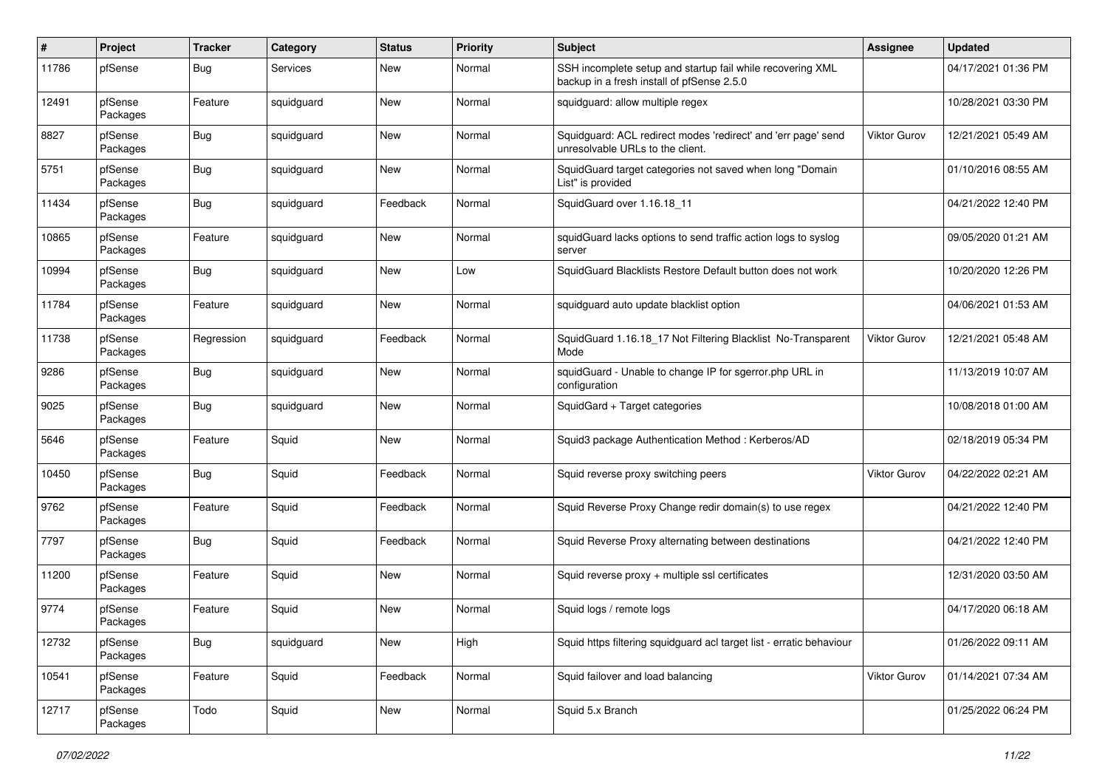| #     | Project             | <b>Tracker</b> | Category   | <b>Status</b> | Priority | <b>Subject</b>                                                                                           | <b>Assignee</b>     | <b>Updated</b>      |
|-------|---------------------|----------------|------------|---------------|----------|----------------------------------------------------------------------------------------------------------|---------------------|---------------------|
| 11786 | pfSense             | <b>Bug</b>     | Services   | New           | Normal   | SSH incomplete setup and startup fail while recovering XML<br>backup in a fresh install of pfSense 2.5.0 |                     | 04/17/2021 01:36 PM |
| 12491 | pfSense<br>Packages | Feature        | squidguard | New           | Normal   | squidguard: allow multiple regex                                                                         |                     | 10/28/2021 03:30 PM |
| 8827  | pfSense<br>Packages | <b>Bug</b>     | squidguard | New           | Normal   | Squidguard: ACL redirect modes 'redirect' and 'err page' send<br>unresolvable URLs to the client.        | <b>Viktor Gurov</b> | 12/21/2021 05:49 AM |
| 5751  | pfSense<br>Packages | <b>Bug</b>     | squidguard | New           | Normal   | SquidGuard target categories not saved when long "Domain<br>List" is provided                            |                     | 01/10/2016 08:55 AM |
| 11434 | pfSense<br>Packages | <b>Bug</b>     | squidguard | Feedback      | Normal   | SquidGuard over 1.16.18_11                                                                               |                     | 04/21/2022 12:40 PM |
| 10865 | pfSense<br>Packages | Feature        | squidguard | New           | Normal   | squidGuard lacks options to send traffic action logs to syslog<br>server                                 |                     | 09/05/2020 01:21 AM |
| 10994 | pfSense<br>Packages | <b>Bug</b>     | squidguard | New           | Low      | SquidGuard Blacklists Restore Default button does not work                                               |                     | 10/20/2020 12:26 PM |
| 11784 | pfSense<br>Packages | Feature        | squidguard | New           | Normal   | squidguard auto update blacklist option                                                                  |                     | 04/06/2021 01:53 AM |
| 11738 | pfSense<br>Packages | Regression     | squidguard | Feedback      | Normal   | SquidGuard 1.16.18_17 Not Filtering Blacklist No-Transparent<br>Mode                                     | <b>Viktor Gurov</b> | 12/21/2021 05:48 AM |
| 9286  | pfSense<br>Packages | <b>Bug</b>     | squidguard | New           | Normal   | squidGuard - Unable to change IP for sgerror.php URL in<br>configuration                                 |                     | 11/13/2019 10:07 AM |
| 9025  | pfSense<br>Packages | <b>Bug</b>     | squidguard | New           | Normal   | SquidGard + Target categories                                                                            |                     | 10/08/2018 01:00 AM |
| 5646  | pfSense<br>Packages | Feature        | Squid      | New           | Normal   | Squid3 package Authentication Method: Kerberos/AD                                                        |                     | 02/18/2019 05:34 PM |
| 10450 | pfSense<br>Packages | <b>Bug</b>     | Squid      | Feedback      | Normal   | Squid reverse proxy switching peers                                                                      | <b>Viktor Gurov</b> | 04/22/2022 02:21 AM |
| 9762  | pfSense<br>Packages | Feature        | Squid      | Feedback      | Normal   | Squid Reverse Proxy Change redir domain(s) to use regex                                                  |                     | 04/21/2022 12:40 PM |
| 7797  | pfSense<br>Packages | <b>Bug</b>     | Squid      | Feedback      | Normal   | Squid Reverse Proxy alternating between destinations                                                     |                     | 04/21/2022 12:40 PM |
| 11200 | pfSense<br>Packages | Feature        | Squid      | New           | Normal   | Squid reverse proxy + multiple ssl certificates                                                          |                     | 12/31/2020 03:50 AM |
| 9774  | pfSense<br>Packages | Feature        | Squid      | New           | Normal   | Squid logs / remote logs                                                                                 |                     | 04/17/2020 06:18 AM |
| 12732 | pfSense<br>Packages | Bug            | squidguard | New           | High     | Squid https filtering squidguard acl target list - erratic behaviour                                     |                     | 01/26/2022 09:11 AM |
| 10541 | pfSense<br>Packages | Feature        | Squid      | Feedback      | Normal   | Squid failover and load balancing                                                                        | Viktor Gurov        | 01/14/2021 07:34 AM |
| 12717 | pfSense<br>Packages | Todo           | Squid      | New           | Normal   | Squid 5.x Branch                                                                                         |                     | 01/25/2022 06:24 PM |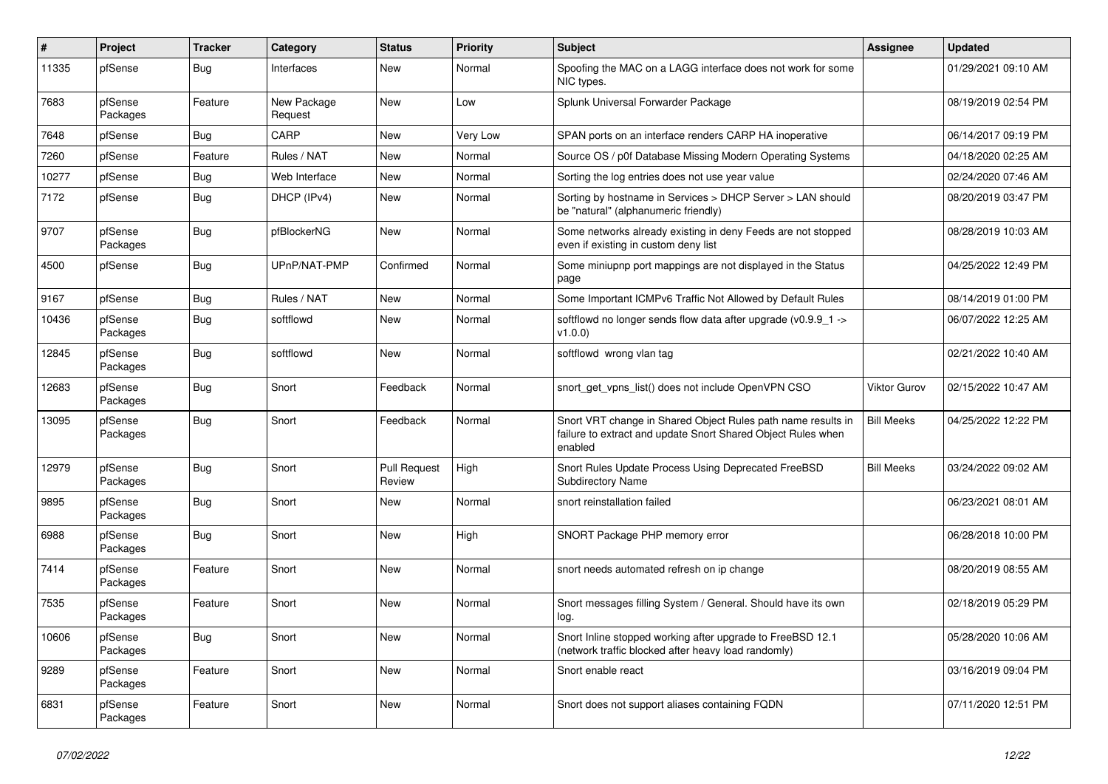| $\sharp$ | Project             | <b>Tracker</b> | Category               | <b>Status</b>                 | <b>Priority</b> | <b>Subject</b>                                                                                                                          | <b>Assignee</b>     | <b>Updated</b>      |
|----------|---------------------|----------------|------------------------|-------------------------------|-----------------|-----------------------------------------------------------------------------------------------------------------------------------------|---------------------|---------------------|
| 11335    | pfSense             | <b>Bug</b>     | Interfaces             | <b>New</b>                    | Normal          | Spoofing the MAC on a LAGG interface does not work for some<br>NIC types.                                                               |                     | 01/29/2021 09:10 AM |
| 7683     | pfSense<br>Packages | Feature        | New Package<br>Request | New                           | Low             | Splunk Universal Forwarder Package                                                                                                      |                     | 08/19/2019 02:54 PM |
| 7648     | pfSense             | <b>Bug</b>     | CARP                   | New                           | Very Low        | SPAN ports on an interface renders CARP HA inoperative                                                                                  |                     | 06/14/2017 09:19 PM |
| 7260     | pfSense             | Feature        | Rules / NAT            | New                           | Normal          | Source OS / p0f Database Missing Modern Operating Systems                                                                               |                     | 04/18/2020 02:25 AM |
| 10277    | pfSense             | <b>Bug</b>     | Web Interface          | <b>New</b>                    | Normal          | Sorting the log entries does not use year value                                                                                         |                     | 02/24/2020 07:46 AM |
| 7172     | pfSense             | <b>Bug</b>     | DHCP (IPv4)            | <b>New</b>                    | Normal          | Sorting by hostname in Services > DHCP Server > LAN should<br>be "natural" (alphanumeric friendly)                                      |                     | 08/20/2019 03:47 PM |
| 9707     | pfSense<br>Packages | <b>Bug</b>     | pfBlockerNG            | New                           | Normal          | Some networks already existing in deny Feeds are not stopped<br>even if existing in custom deny list                                    |                     | 08/28/2019 10:03 AM |
| 4500     | pfSense             | Bug            | UPnP/NAT-PMP           | Confirmed                     | Normal          | Some miniupnp port mappings are not displayed in the Status<br>page                                                                     |                     | 04/25/2022 12:49 PM |
| 9167     | pfSense             | <b>Bug</b>     | Rules / NAT            | New                           | Normal          | Some Important ICMPv6 Traffic Not Allowed by Default Rules                                                                              |                     | 08/14/2019 01:00 PM |
| 10436    | pfSense<br>Packages | <b>Bug</b>     | softflowd              | <b>New</b>                    | Normal          | softflowd no longer sends flow data after upgrade (v0.9.9 1 -><br>v1.0.0                                                                |                     | 06/07/2022 12:25 AM |
| 12845    | pfSense<br>Packages | Bug            | softflowd              | New                           | Normal          | softflowd wrong vlan tag                                                                                                                |                     | 02/21/2022 10:40 AM |
| 12683    | pfSense<br>Packages | <b>Bug</b>     | Snort                  | Feedback                      | Normal          | snort get vpns list() does not include OpenVPN CSO                                                                                      | <b>Viktor Gurov</b> | 02/15/2022 10:47 AM |
| 13095    | pfSense<br>Packages | Bug            | Snort                  | Feedback                      | Normal          | Snort VRT change in Shared Object Rules path name results in<br>failure to extract and update Snort Shared Object Rules when<br>enabled | <b>Bill Meeks</b>   | 04/25/2022 12:22 PM |
| 12979    | pfSense<br>Packages | Bug            | Snort                  | <b>Pull Request</b><br>Review | High            | Snort Rules Update Process Using Deprecated FreeBSD<br><b>Subdirectory Name</b>                                                         | <b>Bill Meeks</b>   | 03/24/2022 09:02 AM |
| 9895     | pfSense<br>Packages | Bug            | Snort                  | New                           | Normal          | snort reinstallation failed                                                                                                             |                     | 06/23/2021 08:01 AM |
| 6988     | pfSense<br>Packages | Bug            | Snort                  | <b>New</b>                    | High            | SNORT Package PHP memory error                                                                                                          |                     | 06/28/2018 10:00 PM |
| 7414     | pfSense<br>Packages | Feature        | Snort                  | New                           | Normal          | snort needs automated refresh on ip change                                                                                              |                     | 08/20/2019 08:55 AM |
| 7535     | pfSense<br>Packages | Feature        | Snort                  | <b>New</b>                    | Normal          | Snort messages filling System / General. Should have its own<br>log.                                                                    |                     | 02/18/2019 05:29 PM |
| 10606    | pfSense<br>Packages | <b>Bug</b>     | Snort                  | <b>New</b>                    | Normal          | Snort Inline stopped working after upgrade to FreeBSD 12.1<br>(network traffic blocked after heavy load randomly)                       |                     | 05/28/2020 10:06 AM |
| 9289     | pfSense<br>Packages | Feature        | Snort                  | New                           | Normal          | Snort enable react                                                                                                                      |                     | 03/16/2019 09:04 PM |
| 6831     | pfSense<br>Packages | Feature        | Snort                  | New                           | Normal          | Snort does not support aliases containing FQDN                                                                                          |                     | 07/11/2020 12:51 PM |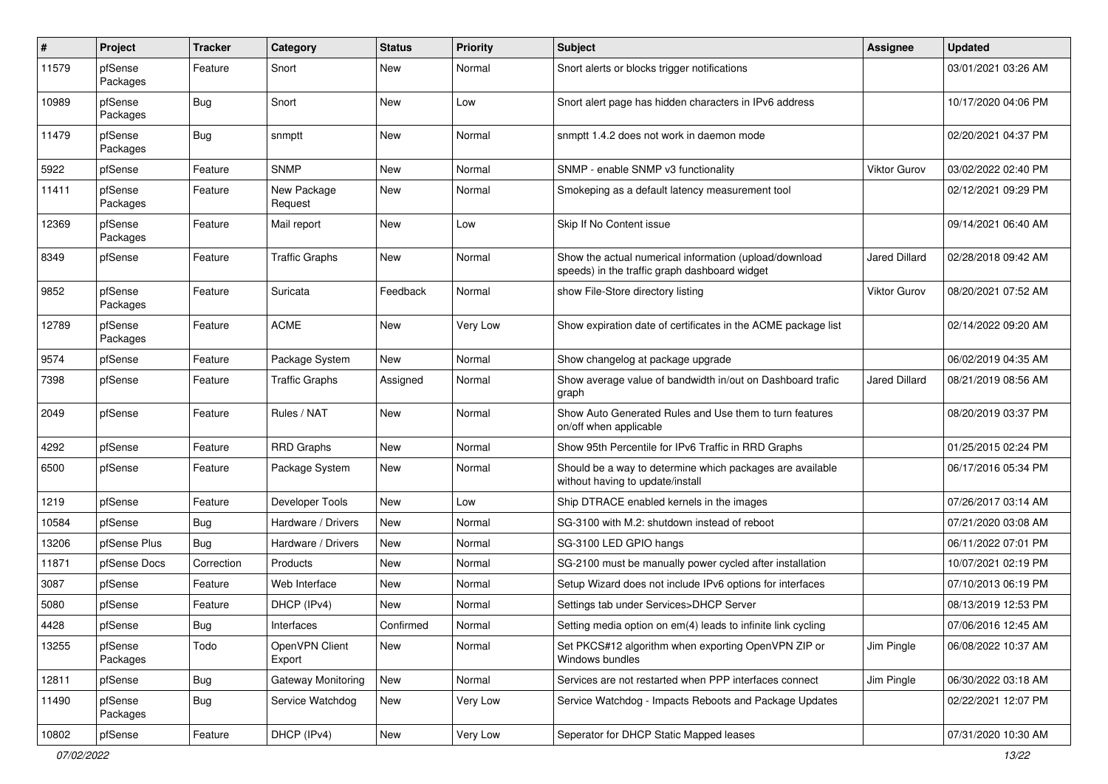| $\pmb{\#}$ | Project             | <b>Tracker</b> | Category                 | <b>Status</b> | <b>Priority</b> | <b>Subject</b>                                                                                          | <b>Assignee</b>     | <b>Updated</b>      |
|------------|---------------------|----------------|--------------------------|---------------|-----------------|---------------------------------------------------------------------------------------------------------|---------------------|---------------------|
| 11579      | pfSense<br>Packages | Feature        | Snort                    | New           | Normal          | Snort alerts or blocks trigger notifications                                                            |                     | 03/01/2021 03:26 AM |
| 10989      | pfSense<br>Packages | Bug            | Snort                    | New           | Low             | Snort alert page has hidden characters in IPv6 address                                                  |                     | 10/17/2020 04:06 PM |
| 11479      | pfSense<br>Packages | Bug            | snmptt                   | <b>New</b>    | Normal          | snmptt 1.4.2 does not work in daemon mode                                                               |                     | 02/20/2021 04:37 PM |
| 5922       | pfSense             | Feature        | <b>SNMP</b>              | New           | Normal          | SNMP - enable SNMP v3 functionality                                                                     | <b>Viktor Gurov</b> | 03/02/2022 02:40 PM |
| 11411      | pfSense<br>Packages | Feature        | New Package<br>Request   | New           | Normal          | Smokeping as a default latency measurement tool                                                         |                     | 02/12/2021 09:29 PM |
| 12369      | pfSense<br>Packages | Feature        | Mail report              | New           | Low             | Skip If No Content issue                                                                                |                     | 09/14/2021 06:40 AM |
| 8349       | pfSense             | Feature        | <b>Traffic Graphs</b>    | New           | Normal          | Show the actual numerical information (upload/download<br>speeds) in the traffic graph dashboard widget | Jared Dillard       | 02/28/2018 09:42 AM |
| 9852       | pfSense<br>Packages | Feature        | Suricata                 | Feedback      | Normal          | show File-Store directory listing                                                                       | <b>Viktor Gurov</b> | 08/20/2021 07:52 AM |
| 12789      | pfSense<br>Packages | Feature        | <b>ACME</b>              | <b>New</b>    | Very Low        | Show expiration date of certificates in the ACME package list                                           |                     | 02/14/2022 09:20 AM |
| 9574       | pfSense             | Feature        | Package System           | New           | Normal          | Show changelog at package upgrade                                                                       |                     | 06/02/2019 04:35 AM |
| 7398       | pfSense             | Feature        | <b>Traffic Graphs</b>    | Assigned      | Normal          | Show average value of bandwidth in/out on Dashboard trafic<br>graph                                     | Jared Dillard       | 08/21/2019 08:56 AM |
| 2049       | pfSense             | Feature        | Rules / NAT              | New           | Normal          | Show Auto Generated Rules and Use them to turn features<br>on/off when applicable                       |                     | 08/20/2019 03:37 PM |
| 4292       | pfSense             | Feature        | <b>RRD Graphs</b>        | <b>New</b>    | Normal          | Show 95th Percentile for IPv6 Traffic in RRD Graphs                                                     |                     | 01/25/2015 02:24 PM |
| 6500       | pfSense             | Feature        | Package System           | New           | Normal          | Should be a way to determine which packages are available<br>without having to update/install           |                     | 06/17/2016 05:34 PM |
| 1219       | pfSense             | Feature        | Developer Tools          | New           | Low             | Ship DTRACE enabled kernels in the images                                                               |                     | 07/26/2017 03:14 AM |
| 10584      | pfSense             | Bug            | Hardware / Drivers       | <b>New</b>    | Normal          | SG-3100 with M.2: shutdown instead of reboot                                                            |                     | 07/21/2020 03:08 AM |
| 13206      | pfSense Plus        | Bug            | Hardware / Drivers       | New           | Normal          | SG-3100 LED GPIO hangs                                                                                  |                     | 06/11/2022 07:01 PM |
| 11871      | pfSense Docs        | Correction     | Products                 | New           | Normal          | SG-2100 must be manually power cycled after installation                                                |                     | 10/07/2021 02:19 PM |
| 3087       | pfSense             | Feature        | Web Interface            | New           | Normal          | Setup Wizard does not include IPv6 options for interfaces                                               |                     | 07/10/2013 06:19 PM |
| 5080       | pfSense             | Feature        | DHCP (IPv4)              | New           | Normal          | Settings tab under Services>DHCP Server                                                                 |                     | 08/13/2019 12:53 PM |
| 4428       | pfSense             | Bug            | Interfaces               | Confirmed     | Normal          | Setting media option on em(4) leads to infinite link cycling                                            |                     | 07/06/2016 12:45 AM |
| 13255      | pfSense<br>Packages | Todo           | OpenVPN Client<br>Export | New           | Normal          | Set PKCS#12 algorithm when exporting OpenVPN ZIP or<br>Windows bundles                                  | Jim Pingle          | 06/08/2022 10:37 AM |
| 12811      | pfSense             | <b>Bug</b>     | Gateway Monitoring       | New           | Normal          | Services are not restarted when PPP interfaces connect                                                  | Jim Pingle          | 06/30/2022 03:18 AM |
| 11490      | pfSense<br>Packages | <b>Bug</b>     | Service Watchdog         | New           | Very Low        | Service Watchdog - Impacts Reboots and Package Updates                                                  |                     | 02/22/2021 12:07 PM |
| 10802      | pfSense             | Feature        | DHCP (IPv4)              | New           | Very Low        | Seperator for DHCP Static Mapped leases                                                                 |                     | 07/31/2020 10:30 AM |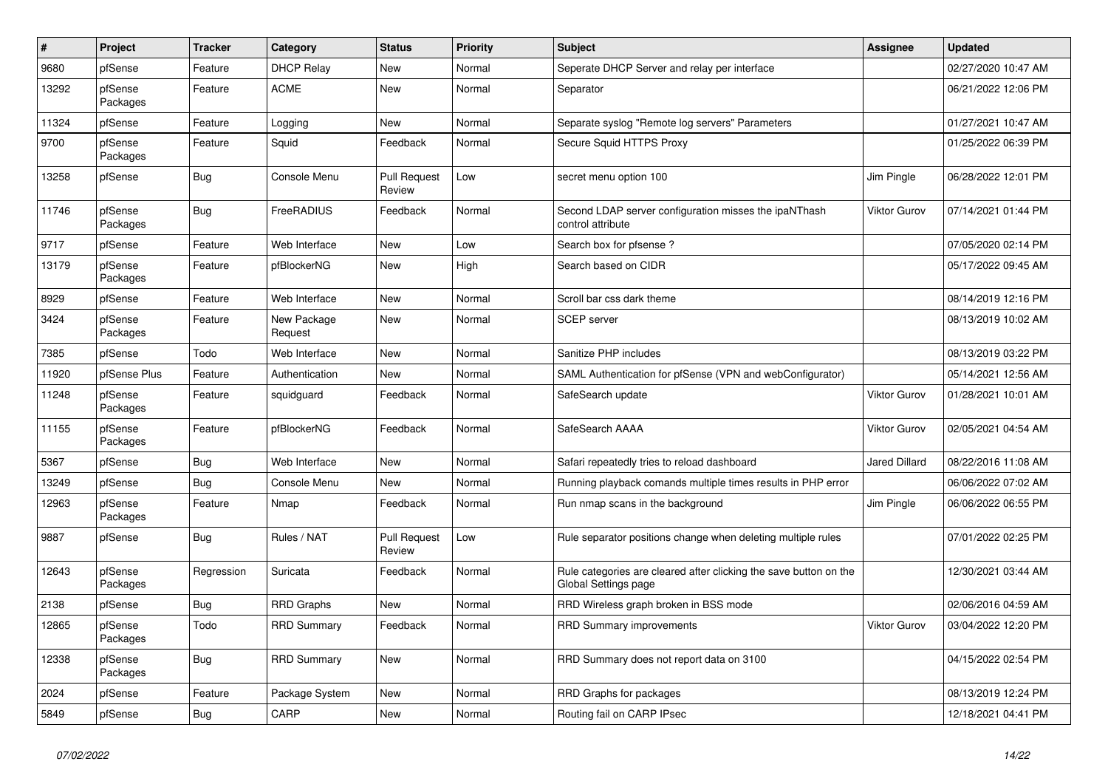| $\pmb{\#}$ | Project             | <b>Tracker</b> | Category               | <b>Status</b>                 | Priority | <b>Subject</b>                                                                            | <b>Assignee</b>      | <b>Updated</b>      |
|------------|---------------------|----------------|------------------------|-------------------------------|----------|-------------------------------------------------------------------------------------------|----------------------|---------------------|
| 9680       | pfSense             | Feature        | <b>DHCP Relay</b>      | New                           | Normal   | Seperate DHCP Server and relay per interface                                              |                      | 02/27/2020 10:47 AM |
| 13292      | pfSense<br>Packages | Feature        | <b>ACME</b>            | New                           | Normal   | Separator                                                                                 |                      | 06/21/2022 12:06 PM |
| 11324      | pfSense             | Feature        | Logging                | New                           | Normal   | Separate syslog "Remote log servers" Parameters                                           |                      | 01/27/2021 10:47 AM |
| 9700       | pfSense<br>Packages | Feature        | Squid                  | Feedback                      | Normal   | Secure Squid HTTPS Proxy                                                                  |                      | 01/25/2022 06:39 PM |
| 13258      | pfSense             | Bug            | Console Menu           | <b>Pull Request</b><br>Review | Low      | secret menu option 100                                                                    | Jim Pingle           | 06/28/2022 12:01 PM |
| 11746      | pfSense<br>Packages | Bug            | FreeRADIUS             | Feedback                      | Normal   | Second LDAP server configuration misses the ipaNThash<br>control attribute                | <b>Viktor Gurov</b>  | 07/14/2021 01:44 PM |
| 9717       | pfSense             | Feature        | Web Interface          | <b>New</b>                    | Low      | Search box for pfsense?                                                                   |                      | 07/05/2020 02:14 PM |
| 13179      | pfSense<br>Packages | Feature        | pfBlockerNG            | New                           | High     | Search based on CIDR                                                                      |                      | 05/17/2022 09:45 AM |
| 8929       | pfSense             | Feature        | Web Interface          | New                           | Normal   | Scroll bar css dark theme                                                                 |                      | 08/14/2019 12:16 PM |
| 3424       | pfSense<br>Packages | Feature        | New Package<br>Request | <b>New</b>                    | Normal   | <b>SCEP</b> server                                                                        |                      | 08/13/2019 10:02 AM |
| 7385       | pfSense             | Todo           | Web Interface          | New                           | Normal   | Sanitize PHP includes                                                                     |                      | 08/13/2019 03:22 PM |
| 11920      | pfSense Plus        | Feature        | Authentication         | New                           | Normal   | SAML Authentication for pfSense (VPN and webConfigurator)                                 |                      | 05/14/2021 12:56 AM |
| 11248      | pfSense<br>Packages | Feature        | squidguard             | Feedback                      | Normal   | SafeSearch update                                                                         | <b>Viktor Gurov</b>  | 01/28/2021 10:01 AM |
| 11155      | pfSense<br>Packages | Feature        | pfBlockerNG            | Feedback                      | Normal   | SafeSearch AAAA                                                                           | <b>Viktor Gurov</b>  | 02/05/2021 04:54 AM |
| 5367       | pfSense             | <b>Bug</b>     | Web Interface          | <b>New</b>                    | Normal   | Safari repeatedly tries to reload dashboard                                               | <b>Jared Dillard</b> | 08/22/2016 11:08 AM |
| 13249      | pfSense             | Bug            | Console Menu           | <b>New</b>                    | Normal   | Running playback comands multiple times results in PHP error                              |                      | 06/06/2022 07:02 AM |
| 12963      | pfSense<br>Packages | Feature        | Nmap                   | Feedback                      | Normal   | Run nmap scans in the background                                                          | Jim Pingle           | 06/06/2022 06:55 PM |
| 9887       | pfSense             | Bug            | Rules / NAT            | <b>Pull Request</b><br>Review | Low      | Rule separator positions change when deleting multiple rules                              |                      | 07/01/2022 02:25 PM |
| 12643      | pfSense<br>Packages | Regression     | Suricata               | Feedback                      | Normal   | Rule categories are cleared after clicking the save button on the<br>Global Settings page |                      | 12/30/2021 03:44 AM |
| 2138       | pfSense             | <b>Bug</b>     | <b>RRD Graphs</b>      | <b>New</b>                    | Normal   | RRD Wireless graph broken in BSS mode                                                     |                      | 02/06/2016 04:59 AM |
| 12865      | pfSense<br>Packages | Todo           | <b>RRD Summary</b>     | Feedback                      | Normal   | RRD Summary improvements                                                                  | <b>Viktor Gurov</b>  | 03/04/2022 12:20 PM |
| 12338      | pfSense<br>Packages | <b>Bug</b>     | <b>RRD Summary</b>     | New                           | Normal   | RRD Summary does not report data on 3100                                                  |                      | 04/15/2022 02:54 PM |
| 2024       | pfSense             | Feature        | Package System         | New                           | Normal   | RRD Graphs for packages                                                                   |                      | 08/13/2019 12:24 PM |
| 5849       | pfSense             | <b>Bug</b>     | CARP                   | New                           | Normal   | Routing fail on CARP IPsec                                                                |                      | 12/18/2021 04:41 PM |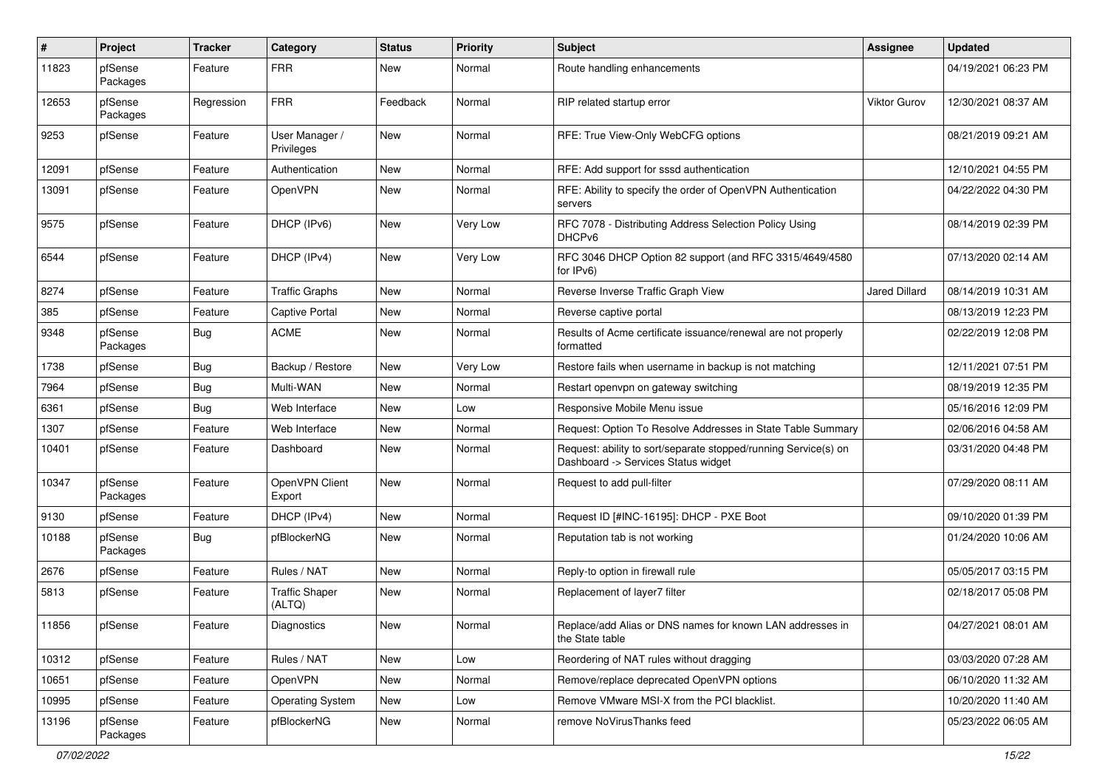| #     | Project             | <b>Tracker</b> | Category                        | <b>Status</b> | Priority | <b>Subject</b>                                                                                         | <b>Assignee</b> | <b>Updated</b>      |
|-------|---------------------|----------------|---------------------------------|---------------|----------|--------------------------------------------------------------------------------------------------------|-----------------|---------------------|
| 11823 | pfSense<br>Packages | Feature        | <b>FRR</b>                      | New           | Normal   | Route handling enhancements                                                                            |                 | 04/19/2021 06:23 PM |
| 12653 | pfSense<br>Packages | Regression     | <b>FRR</b>                      | Feedback      | Normal   | RIP related startup error                                                                              | Viktor Gurov    | 12/30/2021 08:37 AM |
| 9253  | pfSense             | Feature        | User Manager /<br>Privileges    | New           | Normal   | RFE: True View-Only WebCFG options                                                                     |                 | 08/21/2019 09:21 AM |
| 12091 | pfSense             | Feature        | Authentication                  | New           | Normal   | RFE: Add support for sssd authentication                                                               |                 | 12/10/2021 04:55 PM |
| 13091 | pfSense             | Feature        | OpenVPN                         | New           | Normal   | RFE: Ability to specify the order of OpenVPN Authentication<br>servers                                 |                 | 04/22/2022 04:30 PM |
| 9575  | pfSense             | Feature        | DHCP (IPv6)                     | New           | Very Low | RFC 7078 - Distributing Address Selection Policy Using<br>DHCP <sub>v6</sub>                           |                 | 08/14/2019 02:39 PM |
| 6544  | pfSense             | Feature        | DHCP (IPv4)                     | New           | Very Low | RFC 3046 DHCP Option 82 support (and RFC 3315/4649/4580<br>for IPv6)                                   |                 | 07/13/2020 02:14 AM |
| 8274  | pfSense             | Feature        | <b>Traffic Graphs</b>           | New           | Normal   | Reverse Inverse Traffic Graph View                                                                     | Jared Dillard   | 08/14/2019 10:31 AM |
| 385   | pfSense             | Feature        | <b>Captive Portal</b>           | New           | Normal   | Reverse captive portal                                                                                 |                 | 08/13/2019 12:23 PM |
| 9348  | pfSense<br>Packages | Bug            | <b>ACME</b>                     | New           | Normal   | Results of Acme certificate issuance/renewal are not properly<br>formatted                             |                 | 02/22/2019 12:08 PM |
| 1738  | pfSense             | <b>Bug</b>     | Backup / Restore                | New           | Very Low | Restore fails when username in backup is not matching                                                  |                 | 12/11/2021 07:51 PM |
| 7964  | pfSense             | Bug            | Multi-WAN                       | New           | Normal   | Restart openvpn on gateway switching                                                                   |                 | 08/19/2019 12:35 PM |
| 6361  | pfSense             | <b>Bug</b>     | Web Interface                   | New           | Low      | Responsive Mobile Menu issue                                                                           |                 | 05/16/2016 12:09 PM |
| 1307  | pfSense             | Feature        | Web Interface                   | New           | Normal   | Request: Option To Resolve Addresses in State Table Summary                                            |                 | 02/06/2016 04:58 AM |
| 10401 | pfSense             | Feature        | Dashboard                       | New           | Normal   | Request: ability to sort/separate stopped/running Service(s) on<br>Dashboard -> Services Status widget |                 | 03/31/2020 04:48 PM |
| 10347 | pfSense<br>Packages | Feature        | OpenVPN Client<br>Export        | New           | Normal   | Request to add pull-filter                                                                             |                 | 07/29/2020 08:11 AM |
| 9130  | pfSense             | Feature        | DHCP (IPv4)                     | New           | Normal   | Request ID [#INC-16195]: DHCP - PXE Boot                                                               |                 | 09/10/2020 01:39 PM |
| 10188 | pfSense<br>Packages | <b>Bug</b>     | pfBlockerNG                     | New           | Normal   | Reputation tab is not working                                                                          |                 | 01/24/2020 10:06 AM |
| 2676  | pfSense             | Feature        | Rules / NAT                     | New           | Normal   | Reply-to option in firewall rule                                                                       |                 | 05/05/2017 03:15 PM |
| 5813  | pfSense             | Feature        | <b>Traffic Shaper</b><br>(ALTQ) | New           | Normal   | Replacement of layer7 filter                                                                           |                 | 02/18/2017 05:08 PM |
| 11856 | pfSense             | Feature        | Diagnostics                     | New           | Normal   | Replace/add Alias or DNS names for known LAN addresses in<br>the State table                           |                 | 04/27/2021 08:01 AM |
| 10312 | pfSense             | Feature        | Rules / NAT                     | New           | Low      | Reordering of NAT rules without dragging                                                               |                 | 03/03/2020 07:28 AM |
| 10651 | pfSense             | Feature        | OpenVPN                         | New           | Normal   | Remove/replace deprecated OpenVPN options                                                              |                 | 06/10/2020 11:32 AM |
| 10995 | pfSense             | Feature        | <b>Operating System</b>         | New           | Low      | Remove VMware MSI-X from the PCI blacklist.                                                            |                 | 10/20/2020 11:40 AM |
| 13196 | pfSense<br>Packages | Feature        | pfBlockerNG                     | New           | Normal   | remove NoVirusThanks feed                                                                              |                 | 05/23/2022 06:05 AM |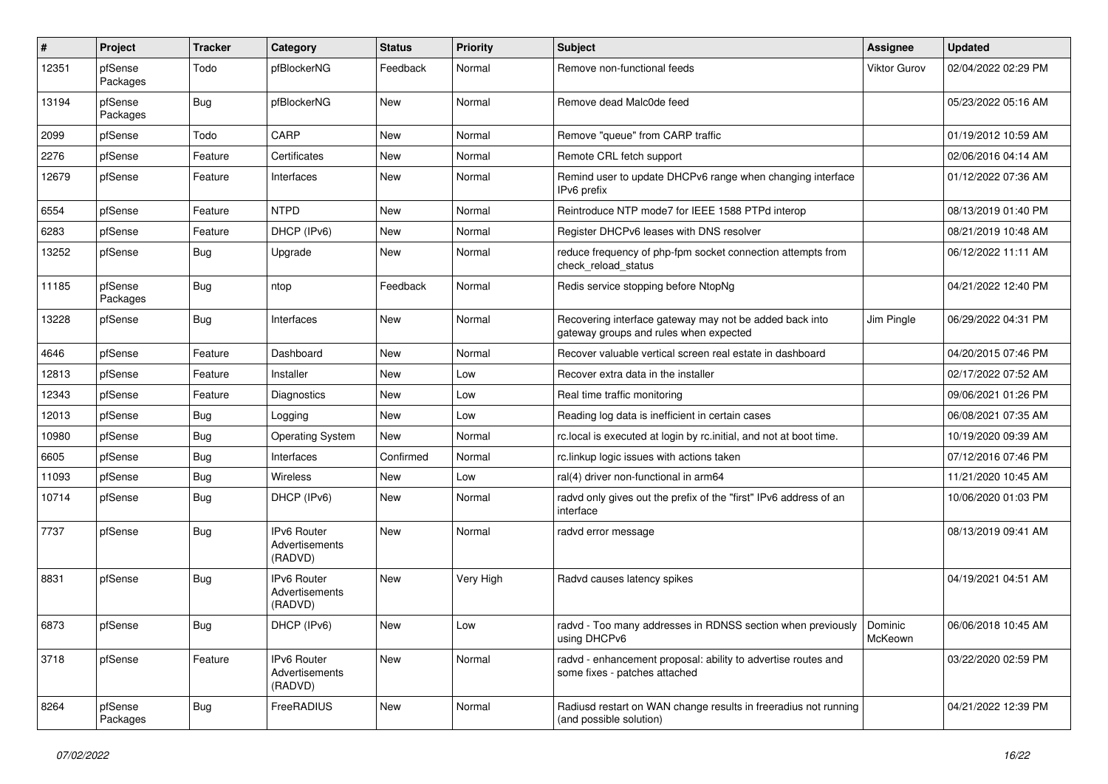| #     | Project             | <b>Tracker</b> | Category                                        | <b>Status</b> | <b>Priority</b> | <b>Subject</b>                                                                                    | <b>Assignee</b>     | <b>Updated</b>      |
|-------|---------------------|----------------|-------------------------------------------------|---------------|-----------------|---------------------------------------------------------------------------------------------------|---------------------|---------------------|
| 12351 | pfSense<br>Packages | Todo           | pfBlockerNG                                     | Feedback      | Normal          | Remove non-functional feeds                                                                       | <b>Viktor Gurov</b> | 02/04/2022 02:29 PM |
| 13194 | pfSense<br>Packages | <b>Bug</b>     | pfBlockerNG                                     | New           | Normal          | Remove dead Malc0de feed                                                                          |                     | 05/23/2022 05:16 AM |
| 2099  | pfSense             | Todo           | CARP                                            | New           | Normal          | Remove "queue" from CARP traffic                                                                  |                     | 01/19/2012 10:59 AM |
| 2276  | pfSense             | Feature        | Certificates                                    | New           | Normal          | Remote CRL fetch support                                                                          |                     | 02/06/2016 04:14 AM |
| 12679 | pfSense             | Feature        | Interfaces                                      | New           | Normal          | Remind user to update DHCPv6 range when changing interface<br>IPv6 prefix                         |                     | 01/12/2022 07:36 AM |
| 6554  | pfSense             | Feature        | <b>NTPD</b>                                     | New           | Normal          | Reintroduce NTP mode7 for IEEE 1588 PTPd interop                                                  |                     | 08/13/2019 01:40 PM |
| 6283  | pfSense             | Feature        | DHCP (IPv6)                                     | New           | Normal          | Register DHCPv6 leases with DNS resolver                                                          |                     | 08/21/2019 10:48 AM |
| 13252 | pfSense             | <b>Bug</b>     | Upgrade                                         | New           | Normal          | reduce frequency of php-fpm socket connection attempts from<br>check_reload_status                |                     | 06/12/2022 11:11 AM |
| 11185 | pfSense<br>Packages | <b>Bug</b>     | ntop                                            | Feedback      | Normal          | Redis service stopping before NtopNg                                                              |                     | 04/21/2022 12:40 PM |
| 13228 | pfSense             | <b>Bug</b>     | Interfaces                                      | New           | Normal          | Recovering interface gateway may not be added back into<br>gateway groups and rules when expected | Jim Pingle          | 06/29/2022 04:31 PM |
| 4646  | pfSense             | Feature        | Dashboard                                       | New           | Normal          | Recover valuable vertical screen real estate in dashboard                                         |                     | 04/20/2015 07:46 PM |
| 12813 | pfSense             | Feature        | Installer                                       | <b>New</b>    | Low             | Recover extra data in the installer                                                               |                     | 02/17/2022 07:52 AM |
| 12343 | pfSense             | Feature        | <b>Diagnostics</b>                              | New           | Low             | Real time traffic monitoring                                                                      |                     | 09/06/2021 01:26 PM |
| 12013 | pfSense             | Bug            | Logging                                         | New           | Low             | Reading log data is inefficient in certain cases                                                  |                     | 06/08/2021 07:35 AM |
| 10980 | pfSense             | Bug            | <b>Operating System</b>                         | <b>New</b>    | Normal          | rc.local is executed at login by rc.initial, and not at boot time.                                |                     | 10/19/2020 09:39 AM |
| 6605  | pfSense             | <b>Bug</b>     | Interfaces                                      | Confirmed     | Normal          | rc.linkup logic issues with actions taken                                                         |                     | 07/12/2016 07:46 PM |
| 11093 | pfSense             | <b>Bug</b>     | Wireless                                        | <b>New</b>    | Low             | ral(4) driver non-functional in arm64                                                             |                     | 11/21/2020 10:45 AM |
| 10714 | pfSense             | <b>Bug</b>     | DHCP (IPv6)                                     | New           | Normal          | radvd only gives out the prefix of the "first" IPv6 address of an<br>interface                    |                     | 10/06/2020 01:03 PM |
| 7737  | pfSense             | <b>Bug</b>     | <b>IPv6 Router</b><br>Advertisements<br>(RADVD) | New           | Normal          | radvd error message                                                                               |                     | 08/13/2019 09:41 AM |
| 8831  | pfSense             | Bug            | <b>IPv6 Router</b><br>Advertisements<br>(RADVD) | New           | Very High       | Radvd causes latency spikes                                                                       |                     | 04/19/2021 04:51 AM |
| 6873  | pfSense             | Bug            | DHCP (IPv6)                                     | New           | Low             | radvd - Too many addresses in RDNSS section when previously  <br>using DHCPv6                     | Dominic<br>McKeown  | 06/06/2018 10:45 AM |
| 3718  | pfSense             | Feature        | IPv6 Router<br>Advertisements<br>(RADVD)        | New           | Normal          | radvd - enhancement proposal: ability to advertise routes and<br>some fixes - patches attached    |                     | 03/22/2020 02:59 PM |
| 8264  | pfSense<br>Packages | Bug            | FreeRADIUS                                      | New           | Normal          | Radiusd restart on WAN change results in freeradius not running<br>(and possible solution)        |                     | 04/21/2022 12:39 PM |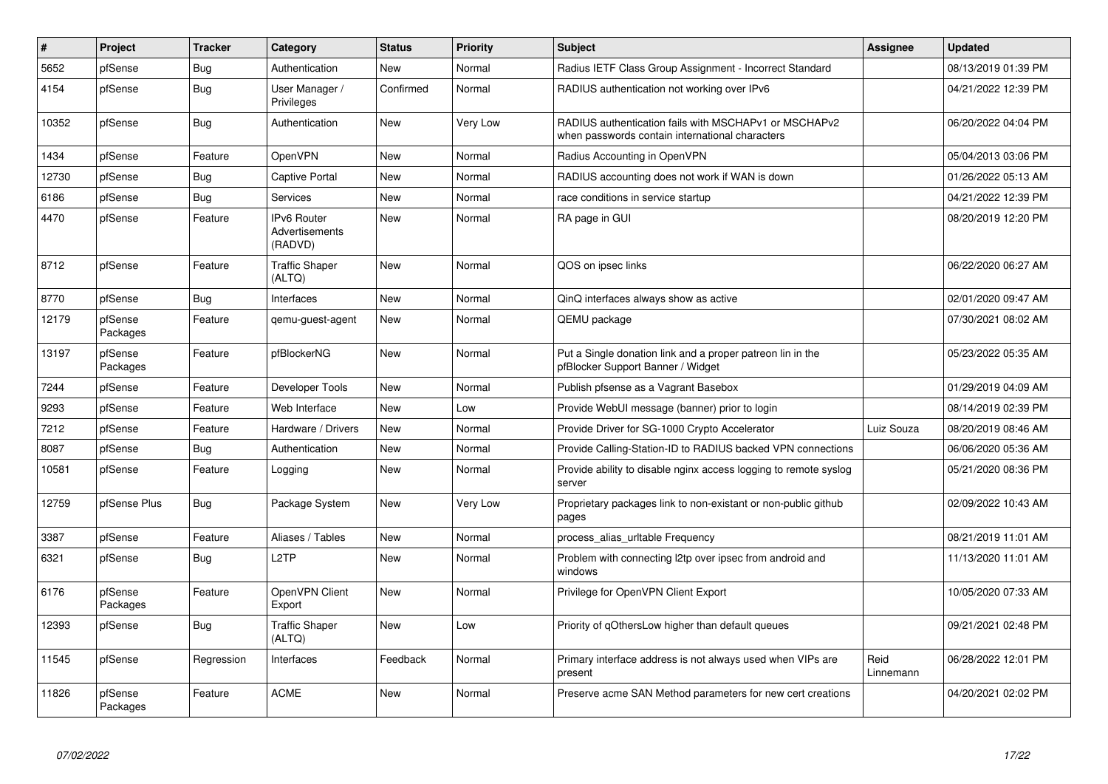| $\sharp$ | Project             | <b>Tracker</b> | Category                                 | <b>Status</b> | Priority | <b>Subject</b>                                                                                           | Assignee          | <b>Updated</b>      |
|----------|---------------------|----------------|------------------------------------------|---------------|----------|----------------------------------------------------------------------------------------------------------|-------------------|---------------------|
| 5652     | pfSense             | <b>Bug</b>     | Authentication                           | <b>New</b>    | Normal   | Radius IETF Class Group Assignment - Incorrect Standard                                                  |                   | 08/13/2019 01:39 PM |
| 4154     | pfSense             | <b>Bug</b>     | User Manager /<br>Privileges             | Confirmed     | Normal   | RADIUS authentication not working over IPv6                                                              |                   | 04/21/2022 12:39 PM |
| 10352    | pfSense             | <b>Bug</b>     | Authentication                           | <b>New</b>    | Very Low | RADIUS authentication fails with MSCHAPv1 or MSCHAPv2<br>when passwords contain international characters |                   | 06/20/2022 04:04 PM |
| 1434     | pfSense             | Feature        | OpenVPN                                  | <b>New</b>    | Normal   | Radius Accounting in OpenVPN                                                                             |                   | 05/04/2013 03:06 PM |
| 12730    | pfSense             | <b>Bug</b>     | <b>Captive Portal</b>                    | <b>New</b>    | Normal   | RADIUS accounting does not work if WAN is down                                                           |                   | 01/26/2022 05:13 AM |
| 6186     | pfSense             | <b>Bug</b>     | Services                                 | <b>New</b>    | Normal   | race conditions in service startup                                                                       |                   | 04/21/2022 12:39 PM |
| 4470     | pfSense             | Feature        | IPv6 Router<br>Advertisements<br>(RADVD) | New           | Normal   | RA page in GUI                                                                                           |                   | 08/20/2019 12:20 PM |
| 8712     | pfSense             | Feature        | <b>Traffic Shaper</b><br>(ALTQ)          | <b>New</b>    | Normal   | QOS on ipsec links                                                                                       |                   | 06/22/2020 06:27 AM |
| 8770     | pfSense             | Bug            | Interfaces                               | <b>New</b>    | Normal   | QinQ interfaces always show as active                                                                    |                   | 02/01/2020 09:47 AM |
| 12179    | pfSense<br>Packages | Feature        | qemu-guest-agent                         | <b>New</b>    | Normal   | QEMU package                                                                                             |                   | 07/30/2021 08:02 AM |
| 13197    | pfSense<br>Packages | Feature        | pfBlockerNG                              | <b>New</b>    | Normal   | Put a Single donation link and a proper patreon lin in the<br>pfBlocker Support Banner / Widget          |                   | 05/23/2022 05:35 AM |
| 7244     | pfSense             | Feature        | Developer Tools                          | <b>New</b>    | Normal   | Publish pfsense as a Vagrant Basebox                                                                     |                   | 01/29/2019 04:09 AM |
| 9293     | pfSense             | Feature        | Web Interface                            | New           | Low      | Provide WebUI message (banner) prior to login                                                            |                   | 08/14/2019 02:39 PM |
| 7212     | pfSense             | Feature        | Hardware / Drivers                       | <b>New</b>    | Normal   | Provide Driver for SG-1000 Crypto Accelerator                                                            | Luiz Souza        | 08/20/2019 08:46 AM |
| 8087     | pfSense             | <b>Bug</b>     | Authentication                           | <b>New</b>    | Normal   | Provide Calling-Station-ID to RADIUS backed VPN connections                                              |                   | 06/06/2020 05:36 AM |
| 10581    | pfSense             | Feature        | Logging                                  | <b>New</b>    | Normal   | Provide ability to disable nginx access logging to remote syslog<br>server                               |                   | 05/21/2020 08:36 PM |
| 12759    | pfSense Plus        | <b>Bug</b>     | Package System                           | <b>New</b>    | Very Low | Proprietary packages link to non-existant or non-public github<br>pages                                  |                   | 02/09/2022 10:43 AM |
| 3387     | pfSense             | Feature        | Aliases / Tables                         | <b>New</b>    | Normal   | process alias uritable Frequency                                                                         |                   | 08/21/2019 11:01 AM |
| 6321     | pfSense             | Bug            | L <sub>2</sub> TP                        | New           | Normal   | Problem with connecting I2tp over ipsec from android and<br>windows                                      |                   | 11/13/2020 11:01 AM |
| 6176     | pfSense<br>Packages | Feature        | OpenVPN Client<br>Export                 | New           | Normal   | Privilege for OpenVPN Client Export                                                                      |                   | 10/05/2020 07:33 AM |
| 12393    | pfSense             | Bug            | <b>Traffic Shaper</b><br>(ALTQ)          | New           | Low      | Priority of qOthersLow higher than default queues                                                        |                   | 09/21/2021 02:48 PM |
| 11545    | pfSense             | Regression     | Interfaces                               | Feedback      | Normal   | Primary interface address is not always used when VIPs are<br>present                                    | Reid<br>Linnemann | 06/28/2022 12:01 PM |
| 11826    | pfSense<br>Packages | Feature        | <b>ACME</b>                              | New           | Normal   | Preserve acme SAN Method parameters for new cert creations                                               |                   | 04/20/2021 02:02 PM |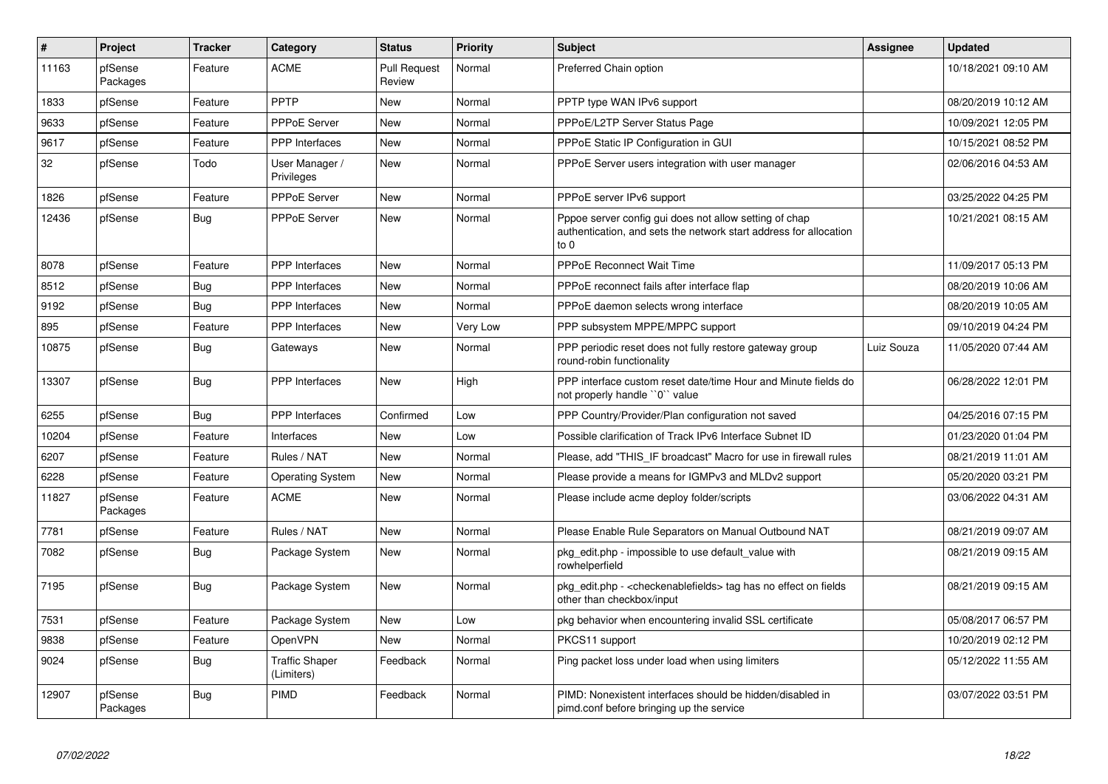| $\vert$ # | <b>Project</b>      | <b>Tracker</b> | Category                            | <b>Status</b>                 | <b>Priority</b> | <b>Subject</b>                                                                                                                      | Assignee   | <b>Updated</b>      |
|-----------|---------------------|----------------|-------------------------------------|-------------------------------|-----------------|-------------------------------------------------------------------------------------------------------------------------------------|------------|---------------------|
| 11163     | pfSense<br>Packages | Feature        | <b>ACME</b>                         | <b>Pull Request</b><br>Review | Normal          | Preferred Chain option                                                                                                              |            | 10/18/2021 09:10 AM |
| 1833      | pfSense             | Feature        | PPTP                                | New                           | Normal          | PPTP type WAN IPv6 support                                                                                                          |            | 08/20/2019 10:12 AM |
| 9633      | pfSense             | Feature        | <b>PPPoE Server</b>                 | <b>New</b>                    | Normal          | PPPoE/L2TP Server Status Page                                                                                                       |            | 10/09/2021 12:05 PM |
| 9617      | pfSense             | Feature        | <b>PPP</b> Interfaces               | New                           | Normal          | PPPoE Static IP Configuration in GUI                                                                                                |            | 10/15/2021 08:52 PM |
| 32        | pfSense             | Todo           | User Manager /<br>Privileges        | <b>New</b>                    | Normal          | PPPoE Server users integration with user manager                                                                                    |            | 02/06/2016 04:53 AM |
| 1826      | pfSense             | Feature        | <b>PPPoE Server</b>                 | New                           | Normal          | PPPoE server IPv6 support                                                                                                           |            | 03/25/2022 04:25 PM |
| 12436     | pfSense             | <b>Bug</b>     | PPPoE Server                        | New                           | Normal          | Pppoe server config gui does not allow setting of chap<br>authentication, and sets the network start address for allocation<br>to 0 |            | 10/21/2021 08:15 AM |
| 8078      | pfSense             | Feature        | PPP Interfaces                      | New                           | Normal          | PPPoE Reconnect Wait Time                                                                                                           |            | 11/09/2017 05:13 PM |
| 8512      | pfSense             | Bug            | PPP Interfaces                      | New                           | Normal          | PPPoE reconnect fails after interface flap                                                                                          |            | 08/20/2019 10:06 AM |
| 9192      | pfSense             | <b>Bug</b>     | <b>PPP</b> Interfaces               | New                           | Normal          | PPPoE daemon selects wrong interface                                                                                                |            | 08/20/2019 10:05 AM |
| 895       | pfSense             | Feature        | <b>PPP</b> Interfaces               | New                           | Very Low        | PPP subsystem MPPE/MPPC support                                                                                                     |            | 09/10/2019 04:24 PM |
| 10875     | pfSense             | <b>Bug</b>     | Gateways                            | New                           | Normal          | PPP periodic reset does not fully restore gateway group<br>round-robin functionality                                                | Luiz Souza | 11/05/2020 07:44 AM |
| 13307     | pfSense             | Bug            | <b>PPP</b> Interfaces               | New                           | High            | PPP interface custom reset date/time Hour and Minute fields do<br>not properly handle "0" value                                     |            | 06/28/2022 12:01 PM |
| 6255      | pfSense             | Bug            | PPP Interfaces                      | Confirmed                     | Low             | PPP Country/Provider/Plan configuration not saved                                                                                   |            | 04/25/2016 07:15 PM |
| 10204     | pfSense             | Feature        | Interfaces                          | New                           | Low             | Possible clarification of Track IPv6 Interface Subnet ID                                                                            |            | 01/23/2020 01:04 PM |
| 6207      | pfSense             | Feature        | Rules / NAT                         | New                           | Normal          | Please, add "THIS IF broadcast" Macro for use in firewall rules                                                                     |            | 08/21/2019 11:01 AM |
| 6228      | pfSense             | Feature        | <b>Operating System</b>             | New                           | Normal          | Please provide a means for IGMPv3 and MLDv2 support                                                                                 |            | 05/20/2020 03:21 PM |
| 11827     | pfSense<br>Packages | Feature        | <b>ACME</b>                         | New                           | Normal          | Please include acme deploy folder/scripts                                                                                           |            | 03/06/2022 04:31 AM |
| 7781      | pfSense             | Feature        | Rules / NAT                         | New                           | Normal          | Please Enable Rule Separators on Manual Outbound NAT                                                                                |            | 08/21/2019 09:07 AM |
| 7082      | pfSense             | Bug            | Package System                      | New                           | Normal          | pkg edit.php - impossible to use default value with<br>rowhelperfield                                                               |            | 08/21/2019 09:15 AM |
| 7195      | pfSense             | <b>Bug</b>     | Package System                      | New                           | Normal          | pkg_edit.php - <checkenablefields> tag has no effect on fields<br/>other than checkbox/input</checkenablefields>                    |            | 08/21/2019 09:15 AM |
| 7531      | pfSense             | Feature        | Package System                      | New                           | Low             | pkg behavior when encountering invalid SSL certificate                                                                              |            | 05/08/2017 06:57 PM |
| 9838      | pfSense             | Feature        | OpenVPN                             | New                           | Normal          | PKCS11 support                                                                                                                      |            | 10/20/2019 02:12 PM |
| 9024      | pfSense             | <b>Bug</b>     | <b>Traffic Shaper</b><br>(Limiters) | Feedback                      | Normal          | Ping packet loss under load when using limiters                                                                                     |            | 05/12/2022 11:55 AM |
| 12907     | pfSense<br>Packages | <b>Bug</b>     | PIMD                                | Feedback                      | Normal          | PIMD: Nonexistent interfaces should be hidden/disabled in<br>pimd.conf before bringing up the service                               |            | 03/07/2022 03:51 PM |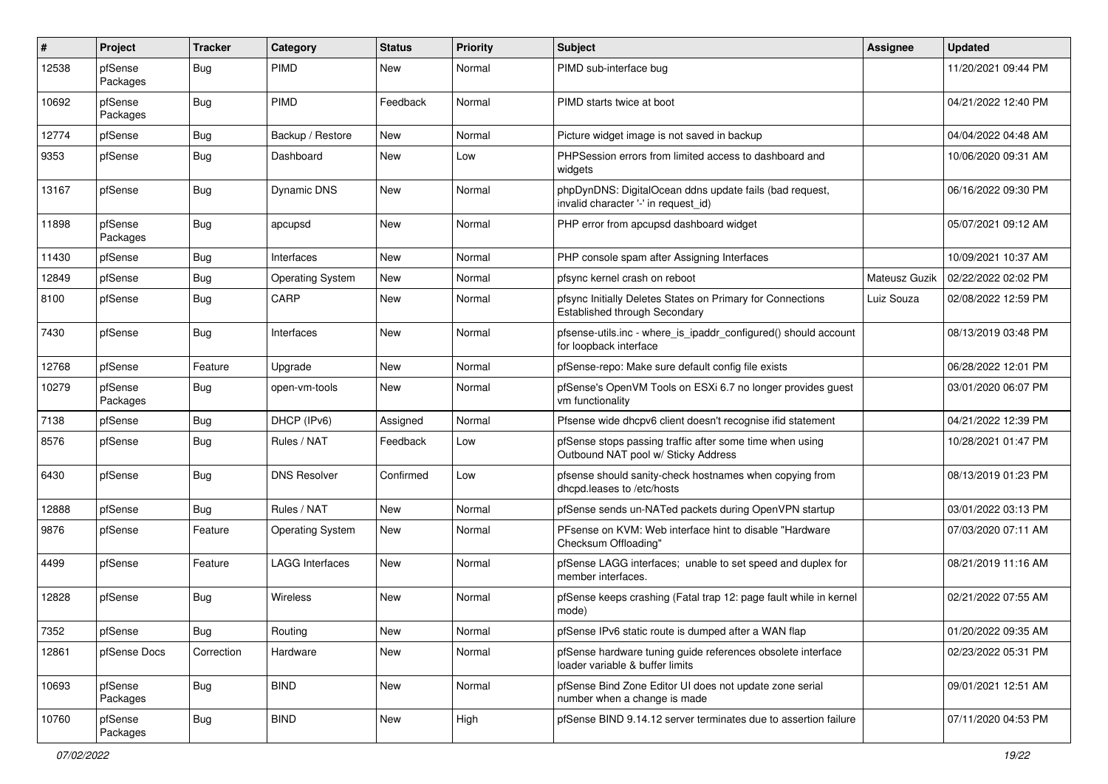| #     | Project             | <b>Tracker</b> | Category                | <b>Status</b> | <b>Priority</b> | <b>Subject</b>                                                                                     | Assignee      | <b>Updated</b>      |
|-------|---------------------|----------------|-------------------------|---------------|-----------------|----------------------------------------------------------------------------------------------------|---------------|---------------------|
| 12538 | pfSense<br>Packages | <b>Bug</b>     | <b>PIMD</b>             | New           | Normal          | PIMD sub-interface bug                                                                             |               | 11/20/2021 09:44 PM |
| 10692 | pfSense<br>Packages | <b>Bug</b>     | PIMD                    | Feedback      | Normal          | PIMD starts twice at boot                                                                          |               | 04/21/2022 12:40 PM |
| 12774 | pfSense             | Bug            | Backup / Restore        | New           | Normal          | Picture widget image is not saved in backup                                                        |               | 04/04/2022 04:48 AM |
| 9353  | pfSense             | <b>Bug</b>     | Dashboard               | New           | Low             | PHPSession errors from limited access to dashboard and<br>widgets                                  |               | 10/06/2020 09:31 AM |
| 13167 | pfSense             | <b>Bug</b>     | <b>Dynamic DNS</b>      | New           | Normal          | phpDynDNS: DigitalOcean ddns update fails (bad request,<br>invalid character '-' in request id)    |               | 06/16/2022 09:30 PM |
| 11898 | pfSense<br>Packages | <b>Bug</b>     | apcupsd                 | New           | Normal          | PHP error from apcupsd dashboard widget                                                            |               | 05/07/2021 09:12 AM |
| 11430 | pfSense             | <b>Bug</b>     | Interfaces              | <b>New</b>    | Normal          | PHP console spam after Assigning Interfaces                                                        |               | 10/09/2021 10:37 AM |
| 12849 | pfSense             | <b>Bug</b>     | <b>Operating System</b> | New           | Normal          | pfsync kernel crash on reboot                                                                      | Mateusz Guzik | 02/22/2022 02:02 PM |
| 8100  | pfSense             | <b>Bug</b>     | CARP                    | New           | Normal          | pfsync Initially Deletes States on Primary for Connections<br><b>Established through Secondary</b> | Luiz Souza    | 02/08/2022 12:59 PM |
| 7430  | pfSense             | <b>Bug</b>     | Interfaces              | <b>New</b>    | Normal          | pfsense-utils.inc - where is ipaddr configured() should account<br>for loopback interface          |               | 08/13/2019 03:48 PM |
| 12768 | pfSense             | Feature        | Upgrade                 | <b>New</b>    | Normal          | pfSense-repo: Make sure default config file exists                                                 |               | 06/28/2022 12:01 PM |
| 10279 | pfSense<br>Packages | Bug            | open-vm-tools           | New           | Normal          | pfSense's OpenVM Tools on ESXi 6.7 no longer provides guest<br>vm functionality                    |               | 03/01/2020 06:07 PM |
| 7138  | pfSense             | <b>Bug</b>     | DHCP (IPv6)             | Assigned      | Normal          | Pfsense wide dhcpv6 client doesn't recognise ifid statement                                        |               | 04/21/2022 12:39 PM |
| 8576  | pfSense             | <b>Bug</b>     | Rules / NAT             | Feedback      | Low             | pfSense stops passing traffic after some time when using<br>Outbound NAT pool w/ Sticky Address    |               | 10/28/2021 01:47 PM |
| 6430  | pfSense             | <b>Bug</b>     | <b>DNS Resolver</b>     | Confirmed     | Low             | pfsense should sanity-check hostnames when copying from<br>dhcpd.leases to /etc/hosts              |               | 08/13/2019 01:23 PM |
| 12888 | pfSense             | <b>Bug</b>     | Rules / NAT             | <b>New</b>    | Normal          | pfSense sends un-NATed packets during OpenVPN startup                                              |               | 03/01/2022 03:13 PM |
| 9876  | pfSense             | Feature        | <b>Operating System</b> | New           | Normal          | PFsense on KVM: Web interface hint to disable "Hardware<br>Checksum Offloading"                    |               | 07/03/2020 07:11 AM |
| 4499  | pfSense             | Feature        | <b>LAGG Interfaces</b>  | <b>New</b>    | Normal          | pfSense LAGG interfaces; unable to set speed and duplex for<br>member interfaces.                  |               | 08/21/2019 11:16 AM |
| 12828 | pfSense             | <b>Bug</b>     | Wireless                | New           | Normal          | pfSense keeps crashing (Fatal trap 12: page fault while in kernel<br>mode)                         |               | 02/21/2022 07:55 AM |
| 7352  | pfSense             | <b>Bug</b>     | Routing                 | New           | Normal          | pfSense IPv6 static route is dumped after a WAN flap                                               |               | 01/20/2022 09:35 AM |
| 12861 | pfSense Docs        | Correction     | Hardware                | New           | Normal          | pfSense hardware tuning guide references obsolete interface<br>loader variable & buffer limits     |               | 02/23/2022 05:31 PM |
| 10693 | pfSense<br>Packages | <b>Bug</b>     | <b>BIND</b>             | New           | Normal          | pfSense Bind Zone Editor UI does not update zone serial<br>number when a change is made            |               | 09/01/2021 12:51 AM |
| 10760 | pfSense<br>Packages | <b>Bug</b>     | <b>BIND</b>             | New           | High            | pfSense BIND 9.14.12 server terminates due to assertion failure                                    |               | 07/11/2020 04:53 PM |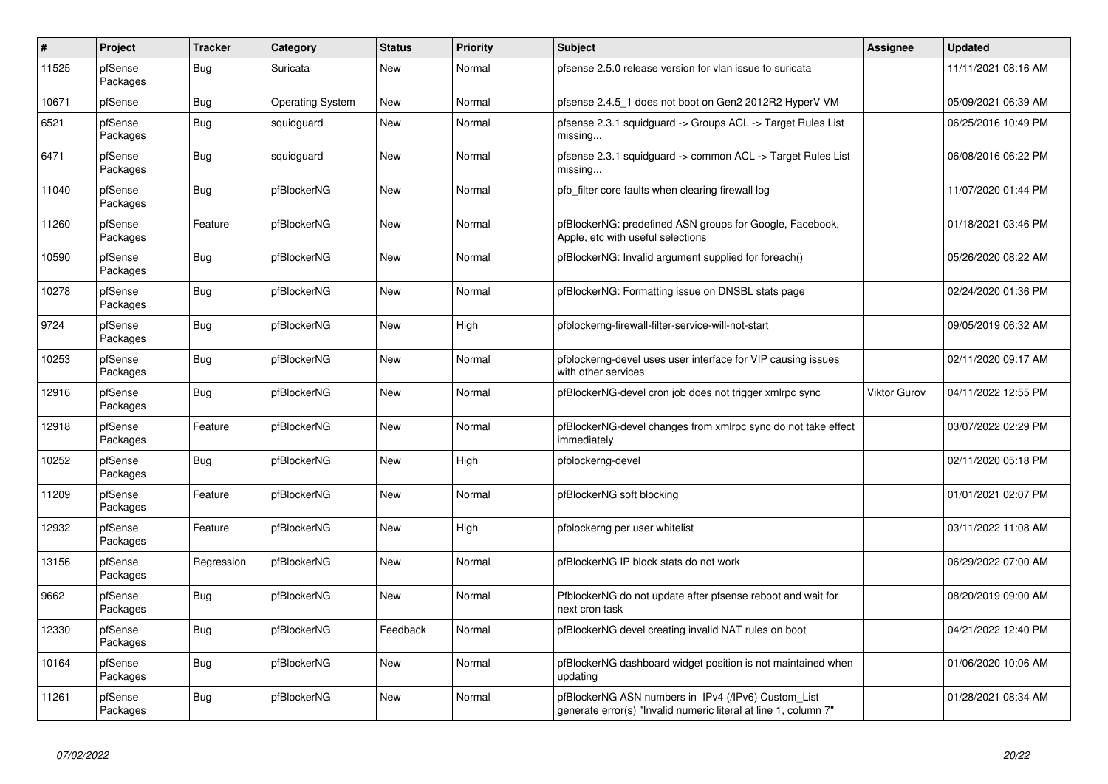| $\sharp$ | Project             | <b>Tracker</b> | Category                | <b>Status</b> | <b>Priority</b> | <b>Subject</b>                                                                                                         | <b>Assignee</b>     | <b>Updated</b>      |
|----------|---------------------|----------------|-------------------------|---------------|-----------------|------------------------------------------------------------------------------------------------------------------------|---------------------|---------------------|
| 11525    | pfSense<br>Packages | <b>Bug</b>     | Suricata                | New           | Normal          | pfsense 2.5.0 release version for vlan issue to suricata                                                               |                     | 11/11/2021 08:16 AM |
| 10671    | pfSense             | Bug            | <b>Operating System</b> | New           | Normal          | pfsense 2.4.5 1 does not boot on Gen2 2012R2 HyperV VM                                                                 |                     | 05/09/2021 06:39 AM |
| 6521     | pfSense<br>Packages | Bug            | squidguard              | New           | Normal          | pfsense 2.3.1 squidguard -> Groups ACL -> Target Rules List<br>missing                                                 |                     | 06/25/2016 10:49 PM |
| 6471     | pfSense<br>Packages | Bug            | squidguard              | New           | Normal          | pfsense 2.3.1 squidguard -> common ACL -> Target Rules List<br>missing                                                 |                     | 06/08/2016 06:22 PM |
| 11040    | pfSense<br>Packages | <b>Bug</b>     | pfBlockerNG             | New           | Normal          | pfb_filter core faults when clearing firewall log                                                                      |                     | 11/07/2020 01:44 PM |
| 11260    | pfSense<br>Packages | Feature        | pfBlockerNG             | New           | Normal          | pfBlockerNG: predefined ASN groups for Google, Facebook,<br>Apple, etc with useful selections                          |                     | 01/18/2021 03:46 PM |
| 10590    | pfSense<br>Packages | Bug            | pfBlockerNG             | New           | Normal          | pfBlockerNG: Invalid argument supplied for foreach()                                                                   |                     | 05/26/2020 08:22 AM |
| 10278    | pfSense<br>Packages | Bug            | pfBlockerNG             | New           | Normal          | pfBlockerNG: Formatting issue on DNSBL stats page                                                                      |                     | 02/24/2020 01:36 PM |
| 9724     | pfSense<br>Packages | <b>Bug</b>     | pfBlockerNG             | New           | High            | pfblockerng-firewall-filter-service-will-not-start                                                                     |                     | 09/05/2019 06:32 AM |
| 10253    | pfSense<br>Packages | <b>Bug</b>     | pfBlockerNG             | New           | Normal          | pfblockerng-devel uses user interface for VIP causing issues<br>with other services                                    |                     | 02/11/2020 09:17 AM |
| 12916    | pfSense<br>Packages | Bug            | pfBlockerNG             | New           | Normal          | pfBlockerNG-devel cron job does not trigger xmlrpc sync                                                                | <b>Viktor Gurov</b> | 04/11/2022 12:55 PM |
| 12918    | pfSense<br>Packages | Feature        | pfBlockerNG             | New           | Normal          | pfBlockerNG-devel changes from xmlrpc sync do not take effect<br>immediately                                           |                     | 03/07/2022 02:29 PM |
| 10252    | pfSense<br>Packages | <b>Bug</b>     | pfBlockerNG             | New           | High            | pfblockerng-devel                                                                                                      |                     | 02/11/2020 05:18 PM |
| 11209    | pfSense<br>Packages | Feature        | pfBlockerNG             | New           | Normal          | pfBlockerNG soft blocking                                                                                              |                     | 01/01/2021 02:07 PM |
| 12932    | pfSense<br>Packages | Feature        | pfBlockerNG             | New           | High            | pfblockerng per user whitelist                                                                                         |                     | 03/11/2022 11:08 AM |
| 13156    | pfSense<br>Packages | Regression     | pfBlockerNG             | New           | Normal          | pfBlockerNG IP block stats do not work                                                                                 |                     | 06/29/2022 07:00 AM |
| 9662     | pfSense<br>Packages | <b>Bug</b>     | pfBlockerNG             | New           | Normal          | PfblockerNG do not update after pfsense reboot and wait for<br>next cron task                                          |                     | 08/20/2019 09:00 AM |
| 12330    | pfSense<br>Packages | <b>Bug</b>     | pfBlockerNG             | Feedback      | Normal          | pfBlockerNG devel creating invalid NAT rules on boot                                                                   |                     | 04/21/2022 12:40 PM |
| 10164    | pfSense<br>Packages | Bug            | pfBlockerNG             | New           | Normal          | pfBlockerNG dashboard widget position is not maintained when<br>updating                                               |                     | 01/06/2020 10:06 AM |
| 11261    | pfSense<br>Packages | <b>Bug</b>     | pfBlockerNG             | New           | Normal          | pfBlockerNG ASN numbers in IPv4 (/IPv6) Custom_List<br>generate error(s) "Invalid numeric literal at line 1, column 7" |                     | 01/28/2021 08:34 AM |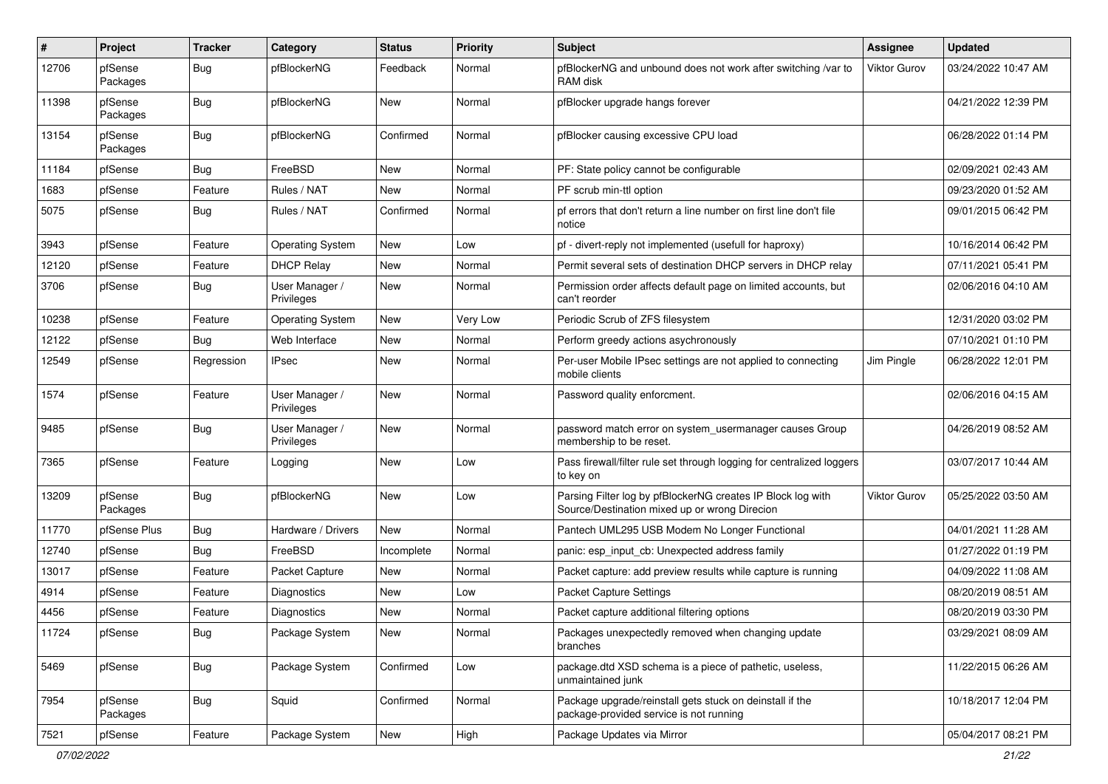| $\pmb{\#}$ | Project             | <b>Tracker</b> | Category                     | <b>Status</b> | <b>Priority</b> | <b>Subject</b>                                                                                               | <b>Assignee</b>     | <b>Updated</b>      |
|------------|---------------------|----------------|------------------------------|---------------|-----------------|--------------------------------------------------------------------------------------------------------------|---------------------|---------------------|
| 12706      | pfSense<br>Packages | Bug            | pfBlockerNG                  | Feedback      | Normal          | pfBlockerNG and unbound does not work after switching /var to<br>RAM disk                                    | <b>Viktor Gurov</b> | 03/24/2022 10:47 AM |
| 11398      | pfSense<br>Packages | Bug            | pfBlockerNG                  | New           | Normal          | pfBlocker upgrade hangs forever                                                                              |                     | 04/21/2022 12:39 PM |
| 13154      | pfSense<br>Packages | Bug            | pfBlockerNG                  | Confirmed     | Normal          | pfBlocker causing excessive CPU load                                                                         |                     | 06/28/2022 01:14 PM |
| 11184      | pfSense             | Bug            | FreeBSD                      | New           | Normal          | PF: State policy cannot be configurable                                                                      |                     | 02/09/2021 02:43 AM |
| 1683       | pfSense             | Feature        | Rules / NAT                  | New           | Normal          | PF scrub min-ttl option                                                                                      |                     | 09/23/2020 01:52 AM |
| 5075       | pfSense             | <b>Bug</b>     | Rules / NAT                  | Confirmed     | Normal          | pf errors that don't return a line number on first line don't file<br>notice                                 |                     | 09/01/2015 06:42 PM |
| 3943       | pfSense             | Feature        | <b>Operating System</b>      | New           | Low             | pf - divert-reply not implemented (usefull for haproxy)                                                      |                     | 10/16/2014 06:42 PM |
| 12120      | pfSense             | Feature        | <b>DHCP Relay</b>            | New           | Normal          | Permit several sets of destination DHCP servers in DHCP relay                                                |                     | 07/11/2021 05:41 PM |
| 3706       | pfSense             | <b>Bug</b>     | User Manager /<br>Privileges | New           | Normal          | Permission order affects default page on limited accounts, but<br>can't reorder                              |                     | 02/06/2016 04:10 AM |
| 10238      | pfSense             | Feature        | <b>Operating System</b>      | New           | <b>Very Low</b> | Periodic Scrub of ZFS filesystem                                                                             |                     | 12/31/2020 03:02 PM |
| 12122      | pfSense             | Bug            | Web Interface                | <b>New</b>    | Normal          | Perform greedy actions asychronously                                                                         |                     | 07/10/2021 01:10 PM |
| 12549      | pfSense             | Regression     | <b>IPsec</b>                 | New           | Normal          | Per-user Mobile IPsec settings are not applied to connecting<br>mobile clients                               | Jim Pingle          | 06/28/2022 12:01 PM |
| 1574       | pfSense             | Feature        | User Manager /<br>Privileges | New           | Normal          | Password quality enforcment.                                                                                 |                     | 02/06/2016 04:15 AM |
| 9485       | pfSense             | <b>Bug</b>     | User Manager /<br>Privileges | New           | Normal          | password match error on system_usermanager causes Group<br>membership to be reset.                           |                     | 04/26/2019 08:52 AM |
| 7365       | pfSense             | Feature        | Logging                      | New           | Low             | Pass firewall/filter rule set through logging for centralized loggers<br>to key on                           |                     | 03/07/2017 10:44 AM |
| 13209      | pfSense<br>Packages | <b>Bug</b>     | pfBlockerNG                  | <b>New</b>    | Low             | Parsing Filter log by pfBlockerNG creates IP Block log with<br>Source/Destination mixed up or wrong Direcion | <b>Viktor Gurov</b> | 05/25/2022 03:50 AM |
| 11770      | pfSense Plus        | <b>Bug</b>     | Hardware / Drivers           | <b>New</b>    | Normal          | Pantech UML295 USB Modem No Longer Functional                                                                |                     | 04/01/2021 11:28 AM |
| 12740      | pfSense             | <b>Bug</b>     | FreeBSD                      | Incomplete    | Normal          | panic: esp input cb: Unexpected address family                                                               |                     | 01/27/2022 01:19 PM |
| 13017      | pfSense             | Feature        | Packet Capture               | <b>New</b>    | Normal          | Packet capture: add preview results while capture is running                                                 |                     | 04/09/2022 11:08 AM |
| 4914       | pfSense             | Feature        | Diagnostics                  | New           | Low             | Packet Capture Settings                                                                                      |                     | 08/20/2019 08:51 AM |
| 4456       | pfSense             | Feature        | <b>Diagnostics</b>           | New           | Normal          | Packet capture additional filtering options                                                                  |                     | 08/20/2019 03:30 PM |
| 11724      | pfSense             | Bug            | Package System               | New           | Normal          | Packages unexpectedly removed when changing update<br>branches                                               |                     | 03/29/2021 08:09 AM |
| 5469       | pfSense             | <b>Bug</b>     | Package System               | Confirmed     | Low             | package.dtd XSD schema is a piece of pathetic, useless,<br>unmaintained junk                                 |                     | 11/22/2015 06:26 AM |
| 7954       | pfSense<br>Packages | <b>Bug</b>     | Squid                        | Confirmed     | Normal          | Package upgrade/reinstall gets stuck on deinstall if the<br>package-provided service is not running          |                     | 10/18/2017 12:04 PM |
| 7521       | pfSense             | Feature        | Package System               | New           | High            | Package Updates via Mirror                                                                                   |                     | 05/04/2017 08:21 PM |